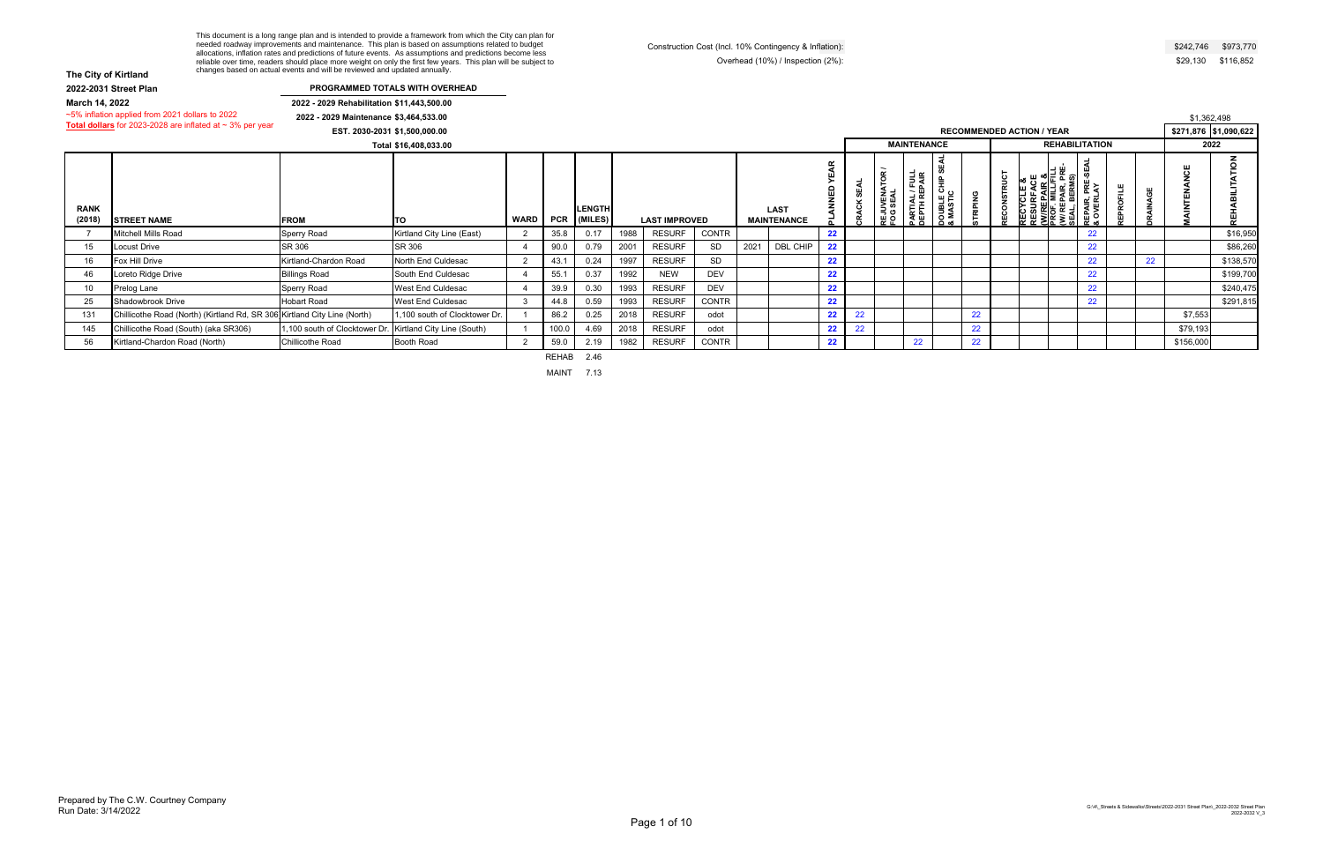# **The City of Kirtland**

| The City of Kirtland |                                                                          | changes based on actual events and will be reviewed and updated annually. | This document is a long range plan and is intended to provide a framework from which the City can plan for<br>needed roadway improvements and maintenance. This plan is based on assumptions related to budget<br>allocations, inflation rates and predictions of future events. As assumptions and predictions become less<br>reliable over time, readers should place more weight on only the first few years. This plan will be subject to |                |                      |                  |      |                      |              |      | Construction Cost (Incl. 10% Contingency & Inflation):<br>Overhead (10%) / Inspection (2%): |                        |             |                                  |                                |                                                   |                 |                    |                                                                                                      |                                                   |           |                 |                           | \$242,746 \$973,770<br>\$29,130 \$116,852                                                |
|----------------------|--------------------------------------------------------------------------|---------------------------------------------------------------------------|-----------------------------------------------------------------------------------------------------------------------------------------------------------------------------------------------------------------------------------------------------------------------------------------------------------------------------------------------------------------------------------------------------------------------------------------------|----------------|----------------------|------------------|------|----------------------|--------------|------|---------------------------------------------------------------------------------------------|------------------------|-------------|----------------------------------|--------------------------------|---------------------------------------------------|-----------------|--------------------|------------------------------------------------------------------------------------------------------|---------------------------------------------------|-----------|-----------------|---------------------------|------------------------------------------------------------------------------------------|
|                      | 2022-2031 Street Plan                                                    |                                                                           | PROGRAMMED TOTALS WITH OVERHEAD                                                                                                                                                                                                                                                                                                                                                                                                               |                |                      |                  |      |                      |              |      |                                                                                             |                        |             |                                  |                                |                                                   |                 |                    |                                                                                                      |                                                   |           |                 |                           |                                                                                          |
| March 14, 2022       |                                                                          | 2022 - 2029 Rehabilitation \$11,443,500.00                                |                                                                                                                                                                                                                                                                                                                                                                                                                                               |                |                      |                  |      |                      |              |      |                                                                                             |                        |             |                                  |                                |                                                   |                 |                    |                                                                                                      |                                                   |           |                 |                           |                                                                                          |
|                      | ~5% inflation applied from 2021 dollars to 2022                          | 2022 - 2029 Maintenance \$3,464,533.00                                    |                                                                                                                                                                                                                                                                                                                                                                                                                                               |                |                      |                  |      |                      |              |      |                                                                                             |                        |             |                                  |                                |                                                   |                 |                    |                                                                                                      |                                                   |           |                 | \$1,362,498               |                                                                                          |
|                      | Total dollars for 2023-2028 are inflated at $\sim$ 3% per year           | EST. 2030-2031 \$1,500,000.00                                             |                                                                                                                                                                                                                                                                                                                                                                                                                                               |                |                      |                  |      |                      |              |      |                                                                                             |                        |             |                                  |                                |                                                   |                 |                    | <b>RECOMMENDED ACTION / YEAR</b>                                                                     |                                                   |           |                 |                           | \$271,876 \$1,090,622                                                                    |
|                      |                                                                          |                                                                           | Total \$16,408,033.00                                                                                                                                                                                                                                                                                                                                                                                                                         |                |                      |                  |      |                      |              |      |                                                                                             |                        |             |                                  | <b>MAINTENANCE</b>             |                                                   |                 |                    |                                                                                                      | <b>REHABILITATION</b>                             |           |                 |                           | 2022                                                                                     |
|                      |                                                                          |                                                                           |                                                                                                                                                                                                                                                                                                                                                                                                                                               |                |                      |                  |      |                      |              |      |                                                                                             |                        |             |                                  |                                |                                                   |                 |                    |                                                                                                      |                                                   |           |                 |                           |                                                                                          |
| <b>RANK</b>          |                                                                          |                                                                           |                                                                                                                                                                                                                                                                                                                                                                                                                                               |                |                      | <b>LENGTH</b>    |      |                      |              |      | <b>LAST</b>                                                                                 | <b>YEAR</b><br>PLANNED | <b>SEAL</b> | <b>REJUVENATOR /</b><br>FOG SEAL | PARTIAL / FULL<br>DEPTH REPAIR | <b>ഗ</b><br><b>DOUBLE CHIP :<br/>&amp; MASTIC</b> | <b>STRIPING</b> | <b>RECONSTRUCT</b> | RECYCLE &<br>RESURFACE<br><u>(W</u> /REPAIR &<br>PROF. MILL/FILL<br>(W/ REPAIR, PRE-<br>SEAL, BERMS) | PRE-SEAI<br>LAY<br><b>REPAIR,<br/>&amp; OVERL</b> | REPROFILE | <b>DRAINAGE</b> | <b><i>IAINTENANCE</i></b> | REHABILITATION                                                                           |
| (2018)               | <b>STREET NAME</b>                                                       | <b>FROM</b>                                                               | <b>TO</b>                                                                                                                                                                                                                                                                                                                                                                                                                                     |                |                      | WARD PCR (MILES) |      | <b>LAST IMPROVED</b> |              |      | <b>MAINTENANCE</b>                                                                          |                        | CRACK       |                                  |                                |                                                   |                 |                    |                                                                                                      |                                                   |           |                 |                           |                                                                                          |
| $\overline{7}$       | Mitchell Mills Road                                                      | Sperry Road                                                               | Kirtland City Line (East)                                                                                                                                                                                                                                                                                                                                                                                                                     | 2              | 35.8                 | 0.17             | 1988 | <b>RESURF</b>        | <b>CONTR</b> |      |                                                                                             | 22                     |             |                                  |                                |                                                   |                 |                    |                                                                                                      | 22                                                |           |                 |                           | \$16,950                                                                                 |
| 15                   | <b>Locust Drive</b>                                                      | SR 306                                                                    | SR 306                                                                                                                                                                                                                                                                                                                                                                                                                                        | - 4            | 90.0                 | 0.79             | 2001 | <b>RESURF</b>        | SD           | 2021 | DBL CHIP                                                                                    | 22                     |             |                                  |                                |                                                   |                 |                    |                                                                                                      | 22                                                |           |                 |                           | \$86,260                                                                                 |
| 16                   | Fox Hill Drive                                                           | Kirtland-Chardon Road                                                     | North End Culdesac                                                                                                                                                                                                                                                                                                                                                                                                                            | $\overline{2}$ | 43.1                 | 0.24             | 1997 | <b>RESURF</b>        | SD           |      |                                                                                             | 22                     |             |                                  |                                |                                                   |                 |                    |                                                                                                      | 22                                                |           | 22              |                           | \$138,570                                                                                |
| 46                   | oreto Ridge Drive                                                        | <b>Billings Road</b>                                                      | South End Culdesac                                                                                                                                                                                                                                                                                                                                                                                                                            |                | 55.1                 | 0.37             | 1992 | <b>NEW</b>           | DEV          |      |                                                                                             | 22                     |             |                                  |                                |                                                   |                 |                    |                                                                                                      | 22                                                |           |                 |                           | \$199,700                                                                                |
| 10                   | Prelog Lane                                                              | Sperry Road                                                               | West End Culdesac                                                                                                                                                                                                                                                                                                                                                                                                                             | -4             | 39.9                 | 0.30             | 1993 | <b>RESURF</b>        | <b>DEV</b>   |      |                                                                                             | 22                     |             |                                  |                                |                                                   |                 |                    |                                                                                                      | 22                                                |           |                 |                           | \$240,475                                                                                |
| 25                   | Shadowbrook Drive                                                        | <b>Hobart Road</b>                                                        | West End Culdesac                                                                                                                                                                                                                                                                                                                                                                                                                             | $\mathbf{3}$   | 44.8                 | 0.59             | 1993 | <b>RESURF</b>        | CONTR        |      |                                                                                             | 22                     |             |                                  |                                |                                                   |                 |                    |                                                                                                      | 22                                                |           |                 |                           | \$291,815                                                                                |
| 131                  | Chillicothe Road (North) (Kirtland Rd, SR 306 Kirtland City Line (North) |                                                                           | 1,100 south of Clocktower Dr.                                                                                                                                                                                                                                                                                                                                                                                                                 |                | 86.2                 | 0.25             | 2018 | <b>RESURF</b>        | odot         |      |                                                                                             | 22                     | 22          |                                  |                                |                                                   | 22              |                    |                                                                                                      |                                                   |           |                 | \$7,553                   |                                                                                          |
| 145                  | Chillicothe Road (South) (aka SR306)                                     | 1.100 south of Clocktower Dr.                                             | Kirtland City Line (South)                                                                                                                                                                                                                                                                                                                                                                                                                    | - 1            | 100.0                | 4.69             | 2018 | <b>RESURF</b>        | odot         |      |                                                                                             | 22                     | 22          |                                  |                                |                                                   | 22              |                    |                                                                                                      |                                                   |           |                 | \$79,193                  |                                                                                          |
| 56                   | Kirtland-Chardon Road (North)                                            | Chillicothe Road                                                          | Booth Road                                                                                                                                                                                                                                                                                                                                                                                                                                    | $\overline{2}$ | 59.0<br><b>REHAB</b> | 2.19<br>2.46     | 1982 | <b>RESURF</b>        | CONTR        |      |                                                                                             | 22                     |             |                                  | 22                             |                                                   | 22              |                    |                                                                                                      |                                                   |           |                 | \$156,000                 |                                                                                          |
|                      |                                                                          |                                                                           |                                                                                                                                                                                                                                                                                                                                                                                                                                               |                |                      |                  |      |                      |              |      |                                                                                             |                        |             |                                  |                                |                                                   |                 |                    |                                                                                                      |                                                   |           |                 |                           |                                                                                          |
| un Date: 3/14/2022   | repared by The C.W. Courtney Company                                     |                                                                           |                                                                                                                                                                                                                                                                                                                                                                                                                                               |                |                      |                  |      | Page 1 of 10         |              |      |                                                                                             |                        |             |                                  |                                |                                                   |                 |                    |                                                                                                      |                                                   |           |                 |                           | G:\4\_Streets & Sidewalks\Streets\2022-2031 Street Plan\_2022-2032 Street P<br>2022-2032 |

### **PROGRAMMED TOTALS WITH OVERHEAD**

| \$242,746 | \$973.770 |
|-----------|-----------|
| \$29,130  | \$116,852 |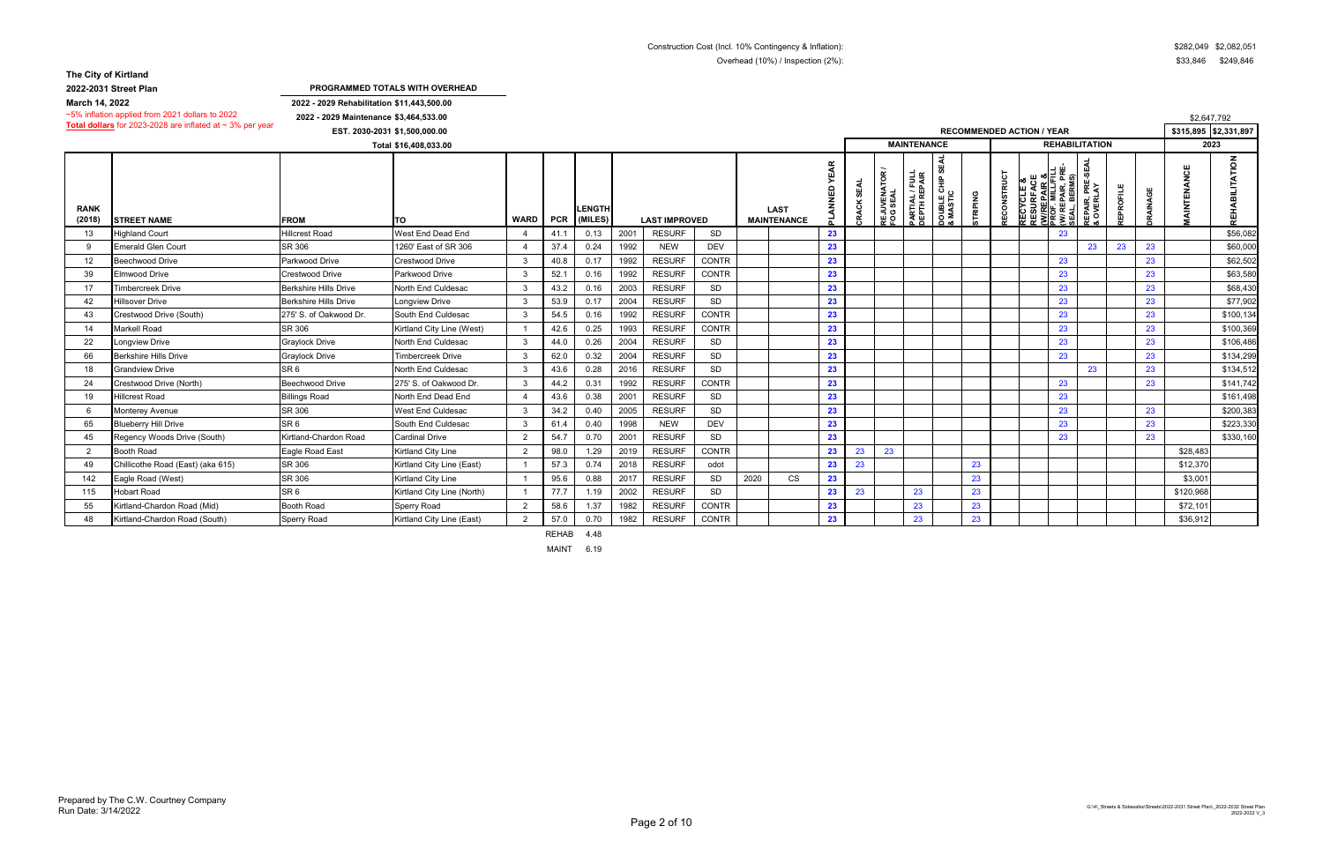**2022-2031 Street Plan**

**2022 - 2029 Rehabilitation \$11,443,500.00 2022 - 2029 Maintenance \$3,464,533.00**

|                       | ~3% imiation applied from 2021 dollars to 2022                 | 2022 - 2029 Maintenance \$3,464,533.00 |                            |                |      |                          |      |                      |              |      |                                   |    |                 |                                 |                                        |                                     |           |                               |                                                                                            |                              |         |                 | \$2,647,792             |
|-----------------------|----------------------------------------------------------------|----------------------------------------|----------------------------|----------------|------|--------------------------|------|----------------------|--------------|------|-----------------------------------|----|-----------------|---------------------------------|----------------------------------------|-------------------------------------|-----------|-------------------------------|--------------------------------------------------------------------------------------------|------------------------------|---------|-----------------|-------------------------|
|                       | Total dollars for 2023-2028 are inflated at $\sim$ 3% per year | EST. 2030-2031 \$1,500,000.00          |                            |                |      |                          |      |                      |              |      |                                   |    |                 |                                 |                                        |                                     |           |                               | <b>RECOMMENDED ACTION / YEAR</b>                                                           |                              |         |                 | $$315,895$ $$2,331,897$ |
|                       |                                                                |                                        | Total \$16,408,033.00      |                |      |                          |      |                      |              |      |                                   |    |                 |                                 | <b>MAINTENANCE</b>                     |                                     |           |                               | <b>REHABILITATION</b>                                                                      |                              |         |                 | 2023                    |
| <b>RANK</b><br>(2018) | <b>ISTREET NAME</b>                                            | <b>FROM</b>                            | <b>TO</b>                  | WARD   PCR     |      | <b>LENGTH</b><br>(MILES) |      | <b>LAST IMPROVED</b> |              |      | <b>LAST</b><br><b>MAINTENANCE</b> |    | š<br><b>CRA</b> | <b>REJUVENATOR<br/>FOG SEAL</b> | <b>PARTIAL / FULL<br/>DEPTH REPAIR</b> | ഗ<br><b>DOUBLE CHIP</b><br>& MASTIC | PING<br>ᇎ | <b>RUC</b><br><b>RECONSTI</b> | 특ច្ច<br>ш∞്<br>ت<br>PAIR,<br>BERM:<br><b>RECYCI</b><br>RESURF<br><u>(W/REP</u><br>PROF. MI | ጅ<br>ት<br>REPAIR,<br>& OVERL | EPROFIL | <b>JRAINAGE</b> | $\circ$<br>ш<br>而       |
| 13                    | <b>Highland Court</b>                                          | <b>Hillcrest Road</b>                  | West End Dead End          |                | 41.1 | 0.13                     | 2001 | <b>RESURF</b>        | SD           |      |                                   | 23 |                 |                                 |                                        |                                     |           |                               | 23                                                                                         |                              |         |                 | \$56,082                |
| -9                    | <b>Emerald Glen Court</b>                                      | SR 306                                 | 1260' East of SR 306       |                | 37.4 | 0.24                     | 1992 | <b>NEW</b>           | <b>DEV</b>   |      |                                   | 23 |                 |                                 |                                        |                                     |           |                               |                                                                                            | 23                           | 23      | 23              | \$60,000                |
| 12                    | Beechwood Drive                                                | Parkwood Drive                         | <b>Crestwood Drive</b>     | -3             | 40.8 | 0.17                     | 1992 | <b>RESURF</b>        | <b>CONTR</b> |      |                                   | 23 |                 |                                 |                                        |                                     |           |                               | 23                                                                                         |                              |         | 23              | \$62,502                |
| 39                    | Elmwood Drive                                                  | Crestwood Drive                        | Parkwood Drive             | -3             | 52.1 | 0.16                     | 1992 | <b>RESURF</b>        | <b>CONTR</b> |      |                                   | 23 |                 |                                 |                                        |                                     |           |                               | 23                                                                                         |                              |         | 23              | \$63,580                |
| 17                    | Timbercreek Drive                                              | <b>Berkshire Hills Drive</b>           | North End Culdesac         | -3             | 43.2 | 0.16                     | 2003 | <b>RESURF</b>        | SD           |      |                                   | 23 |                 |                                 |                                        |                                     |           |                               | 23                                                                                         |                              |         | 23              | \$68,430                |
| 42                    | <b>Hillsover Drive</b>                                         | <b>Berkshire Hills Drive</b>           | <b>Longview Drive</b>      | -3             | 53.9 | 0.17                     | 2004 | <b>RESURF</b>        | SD           |      |                                   | 23 |                 |                                 |                                        |                                     |           |                               | 23                                                                                         |                              |         | 23              | \$77,902                |
| 43                    | Crestwood Drive (South)                                        | 275' S. of Oakwood Dr.                 | South End Culdesac         | 3              | 54.5 | 0.16                     | 1992 | <b>RESURF</b>        | <b>CONTR</b> |      |                                   | 23 |                 |                                 |                                        |                                     |           |                               | 23                                                                                         |                              |         | 23              | \$100,134               |
| 14                    | <b>Markell Road</b>                                            | SR 306                                 | Kirtland City Line (West)  |                | 42.6 | 0.25                     | 1993 | <b>RESURF</b>        | <b>CONTR</b> |      |                                   | 23 |                 |                                 |                                        |                                     |           |                               | 23                                                                                         |                              |         | 23              | \$100,369               |
| 22                    | Longview Drive                                                 | <b>Graylock Drive</b>                  | North End Culdesac         | -3             | 44.0 | 0.26                     | 2004 | <b>RESURF</b>        | <b>SD</b>    |      |                                   | 23 |                 |                                 |                                        |                                     |           |                               | 23                                                                                         |                              |         | 23              | \$106,486               |
| 66                    | <b>Berkshire Hills Drive</b>                                   | <b>Graylock Drive</b>                  | <b>Timbercreek Drive</b>   | -3             | 62.0 | 0.32                     | 2004 | <b>RESURF</b>        | <b>SD</b>    |      |                                   | 23 |                 |                                 |                                        |                                     |           |                               | 23                                                                                         |                              |         | 23              | \$134,299               |
| 18                    | <b>Grandview Drive</b>                                         | SR <sub>6</sub>                        | North End Culdesac         | -3             | 43.6 | 0.28                     | 2016 | <b>RESURF</b>        | <b>SD</b>    |      |                                   | 23 |                 |                                 |                                        |                                     |           |                               |                                                                                            | 23                           |         | 23              | \$134,512               |
| 24                    | Crestwood Drive (North)                                        | <b>Beechwood Drive</b>                 | 275' S. of Oakwood Dr.     | -3             | 44.2 | 0.31                     | 1992 | <b>RESURF</b>        | <b>CONTR</b> |      |                                   | 23 |                 |                                 |                                        |                                     |           |                               | 23                                                                                         |                              |         | 23              | \$141,742               |
| 19                    | <b>Hillcrest Road</b>                                          | <b>Billings Road</b>                   | North End Dead End         |                | 43.6 | 0.38                     | 2001 | <b>RESURF</b>        | <b>SD</b>    |      |                                   | 23 |                 |                                 |                                        |                                     |           |                               | 23                                                                                         |                              |         |                 | \$161,498               |
| - 6                   | Monterey Avenue                                                | SR 306                                 | West End Culdesac          | -3             | 34.2 | 0.40                     | 2005 | <b>RESURF</b>        | <b>SD</b>    |      |                                   | 23 |                 |                                 |                                        |                                     |           |                               | 23                                                                                         |                              |         | 23              | \$200,383               |
| 65                    | <b>Blueberry Hill Drive</b>                                    | SR <sub>6</sub>                        | South End Culdesac         | -3             | 61.4 | 0.40                     | 1998 | <b>NEW</b>           | <b>DEV</b>   |      |                                   | 23 |                 |                                 |                                        |                                     |           |                               | 23                                                                                         |                              |         | 23              | \$223,330               |
| 45                    | Regency Woods Drive (South)                                    | Kirtland-Chardon Road                  | <b>Cardinal Drive</b>      | $\overline{2}$ | 54.7 | 0.70                     | 2001 | <b>RESURF</b>        | SD           |      |                                   | 23 |                 |                                 |                                        |                                     |           |                               | 23                                                                                         |                              |         | 23              | \$330,160               |
| 2                     | Booth Road                                                     | Eagle Road East                        | Kirtland City Line         | $\overline{2}$ | 98.0 | 1.29                     | 2019 | <b>RESURF</b>        | <b>CONTR</b> |      |                                   | 23 | 23              | 23                              |                                        |                                     |           |                               |                                                                                            |                              |         |                 | \$28,483                |
| 49                    | Chillicothe Road (East) (aka 615)                              | SR 306                                 | Kirtland City Line (East)  |                | 57.3 | 0.74                     | 2018 | <b>RESURF</b>        | odot         |      |                                   | 23 | 23              |                                 |                                        |                                     | 23        |                               |                                                                                            |                              |         |                 | \$12,370                |
| 142                   | Eagle Road (West)                                              | SR 306                                 | Kirtland City Line         |                | 95.6 | 0.88                     | 2017 | <b>RESURF</b>        | <b>SD</b>    | 2020 | <b>CS</b>                         | 23 |                 |                                 |                                        |                                     | 23        |                               |                                                                                            |                              |         |                 | \$3,00                  |
| 115                   | <b>Hobart Road</b>                                             | SR <sub>6</sub>                        | Kirtland City Line (North) |                | 77.7 | 1.19                     | 2002 | <b>RESURF</b>        | <b>SD</b>    |      |                                   | 23 | 23              |                                 | 23                                     |                                     | 23        |                               |                                                                                            |                              |         |                 | \$120,968               |
| 55                    | Kirtland-Chardon Road (Mid)                                    | <b>Booth Road</b>                      | Sperry Road                | $\overline{2}$ | 58.6 | 1.37                     | 1982 | <b>RESURF</b>        | <b>CONTR</b> |      |                                   | 23 |                 |                                 | 23                                     |                                     | 23        |                               |                                                                                            |                              |         |                 | \$72,101                |
| 48                    | Kirtland-Chardon Road (South)                                  | Sperry Road                            | Kirtland City Line (East)  | $\overline{2}$ | 57.0 | 0.70                     | 1982 | <b>RESURF</b>        | <b>CONTR</b> |      |                                   | 23 |                 |                                 | 23                                     |                                     | 23        |                               |                                                                                            |                              |         |                 | \$36,912                |

REHAB 4.48 MAINT 6.19

**PROGRAMMED TOTALS WITH OVERHEAD**

**March 14, 2022**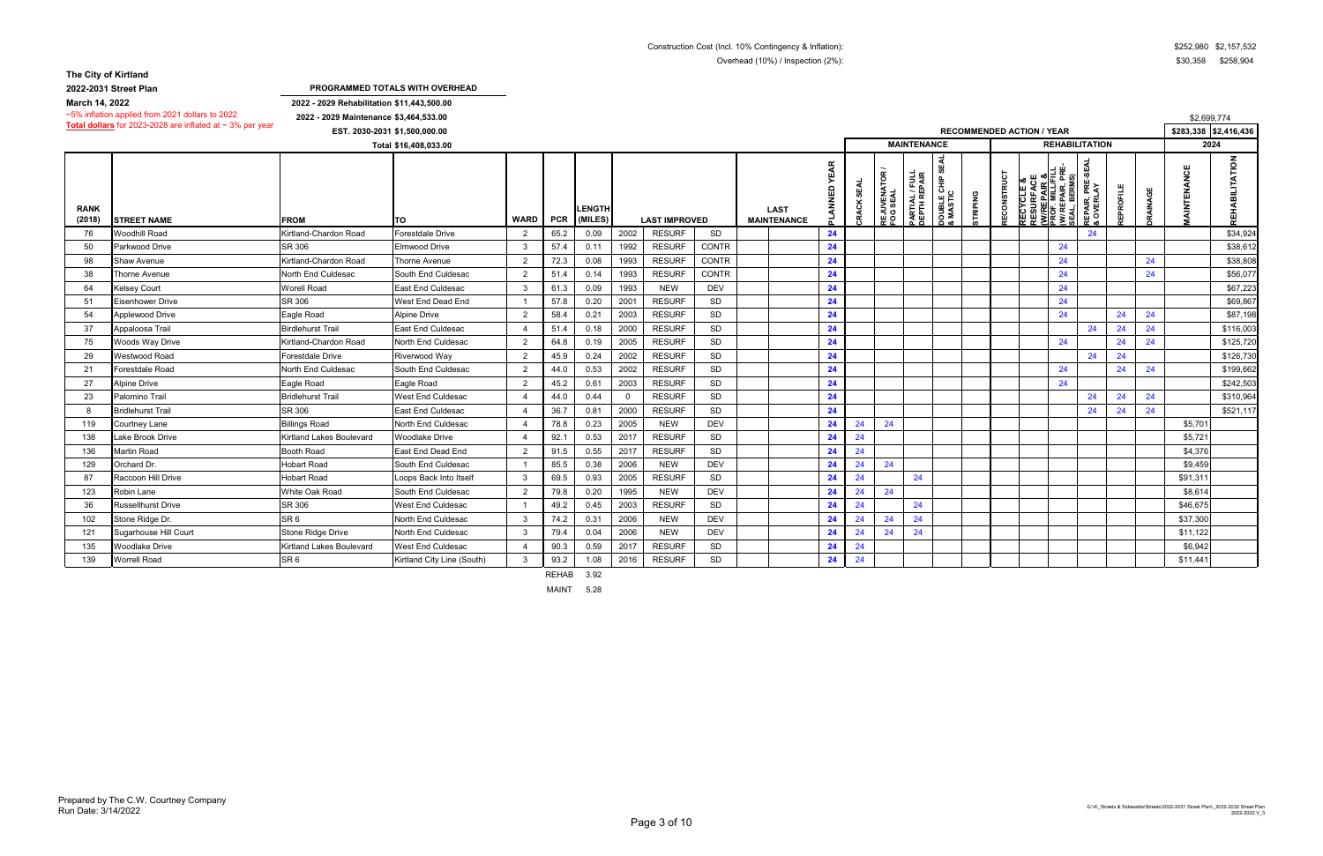**2022-2031 Street Plan**

**2022 - 2029 Rehabilitation \$11,443,500.00 2022 - 2029 Maintenance \$3,464,533.00**

|                       | ~3% imiation applied from zuz F dollars to zuzz                | 2022 - 2029 Maintenance \$3,464,533.00 |                               |                |              |                          |          |                      |              |                                   |             |                             |                                 |                                |                                             |                |                    |                                                                            |                          |                                           |          |                 | \$2,699,774           |                     |
|-----------------------|----------------------------------------------------------------|----------------------------------------|-------------------------------|----------------|--------------|--------------------------|----------|----------------------|--------------|-----------------------------------|-------------|-----------------------------|---------------------------------|--------------------------------|---------------------------------------------|----------------|--------------------|----------------------------------------------------------------------------|--------------------------|-------------------------------------------|----------|-----------------|-----------------------|---------------------|
|                       | Total dollars for 2023-2028 are inflated at $\sim$ 3% per year |                                        | EST. 2030-2031 \$1,500,000.00 |                |              |                          |          |                      |              |                                   |             |                             |                                 |                                |                                             |                |                    | <b>RECOMMENDED ACTION / YEAR</b>                                           |                          |                                           |          |                 | \$283,338 \$2,416,436 |                     |
|                       |                                                                |                                        | Total \$16,408,033.00         |                |              |                          |          |                      |              |                                   |             |                             |                                 | <b>MAINTENANCE</b>             |                                             |                |                    |                                                                            |                          | <b>REHABILITATION</b>                     |          |                 | 2024                  |                     |
| <b>RANK</b><br>(2018) | <b>STREET NAME</b>                                             | <b>FROM</b>                            | lTO                           | <b>WARD</b>    | <b>PCR</b>   | <b>LENGTH</b><br>(MILES) |          | <b>LAST IMPROVED</b> |              | <b>LAST</b><br><b>MAINTENANCE</b> | <b>YEAR</b> | <b>SEAL</b><br><b>CRACK</b> | <b>REJUVENATOR<br/>FOG SEAL</b> | PARTIAL / FULL<br>DEPTH REPAIR | ₹<br>ဖာ<br><b>DOUBLE CHIP 9</b><br>& MASTIC | <b>TRIPING</b> | <b>RECONSTRUCT</b> | <b>RECYCLE &amp;<br/>RESURFACI<br/><u>(W/REPAIR ¿</u><br/>PROF. MILL/F</b> | REPAIR, PR<br>JL, BERMS) | SEA<br>ሥች<br>አ<br><b>EPAIR,<br/>OVERL</b> | EPROFILE | <b>JRAINAGE</b> | TENANCE<br>ξ          | ЮCI.<br><b>REHA</b> |
| 76                    | <b>Noodhill Road</b>                                           | Kirtland-Chardon Road                  | Forestdale Drive              | $\mathcal{P}$  | 65.2         | 0.09                     | 2002     | <b>RESURF</b>        | SD           |                                   | 24          |                             |                                 |                                |                                             |                |                    |                                                                            |                          | 24                                        |          |                 |                       | \$34,924            |
| 50                    | Parkwood Drive                                                 | SR 306                                 | Elmwood Drive                 | -3             | 57.4         | 0.11                     | 1992     | <b>RESURF</b>        | <b>CONTR</b> |                                   | 24          |                             |                                 |                                |                                             |                |                    |                                                                            | 24                       |                                           |          |                 |                       | \$38,612            |
| 98                    | Shaw Avenue                                                    | Kirtland-Chardon Road                  | Thorne Avenue                 | $\mathcal{D}$  | 72.3         | 0.08                     | 1993     | <b>RESURF</b>        | <b>CONTR</b> |                                   | 24          |                             |                                 |                                |                                             |                |                    |                                                                            | 24                       |                                           |          | 24              |                       | \$38,808            |
| 38                    | Thorne Avenue                                                  | North End Culdesac                     | South End Culdesac            | $\mathcal{P}$  | 51.4         | 0.14                     | 1993     | <b>RESURF</b>        | <b>CONTR</b> |                                   | 24          |                             |                                 |                                |                                             |                |                    |                                                                            | 24                       |                                           |          | 24              |                       | \$56,077            |
| 64                    | <b>Kelsey Court</b>                                            | <b>Worell Road</b>                     | <b>East End Culdesac</b>      | -3             | 61.3         | 0.09                     | 1993     | <b>NEW</b>           | <b>DEV</b>   |                                   | 24          |                             |                                 |                                |                                             |                |                    |                                                                            | 24                       |                                           |          |                 |                       | \$67,223            |
| 51                    | Eisenhower Drive                                               | SR 306                                 | West End Dead End             |                | 57.8         | 0.20                     | 2001     | <b>RESURF</b>        | SD           |                                   | 24          |                             |                                 |                                |                                             |                |                    |                                                                            | 24                       |                                           |          |                 |                       | \$69,867            |
| 54                    | Applewood Drive                                                | Eagle Road                             | <b>Alpine Drive</b>           | 2              | 58.4         | 0.21                     | 2003     | <b>RESURF</b>        | SD           |                                   | 24          |                             |                                 |                                |                                             |                |                    |                                                                            | 24                       |                                           | 24       | 24              |                       | \$87,198            |
| 37                    | Appaloosa Trail                                                | <b>Birdlehurst Trail</b>               | <b>East End Culdesac</b>      |                | 51.4         | 0.18                     | 2000     | <b>RESURF</b>        | SD           |                                   | 24          |                             |                                 |                                |                                             |                |                    |                                                                            |                          | 24                                        | 24       | 24              |                       | \$116,003           |
| 75                    | Woods Way Drive                                                | Kirtland-Chardon Road                  | North End Culdesac            | $\mathcal{P}$  | 64.8         | 0.19                     | 2005     | <b>RESURF</b>        | SD           |                                   | 24          |                             |                                 |                                |                                             |                |                    |                                                                            | 24                       |                                           | 24       | 24              |                       | \$125,720           |
| 29                    | Westwood Road                                                  | <b>Forestdale Drive</b>                | Riverwood Way                 | $\overline{2}$ | 45.9         | 0.24                     | 2002     | <b>RESURF</b>        | SD           |                                   | 24          |                             |                                 |                                |                                             |                |                    |                                                                            |                          | 24                                        | 24       |                 |                       | \$126,730           |
| 21                    | Forestdale Road                                                | North End Culdesac                     | South End Culdesac            | $\overline{2}$ | 44.0         | 0.53                     | 2002     | <b>RESURF</b>        | SD           |                                   | 24          |                             |                                 |                                |                                             |                |                    |                                                                            | 24                       |                                           | 24       | 24              |                       | \$199,662           |
| 27                    | Alpine Drive                                                   | Eagle Road                             | Eagle Road                    | $\overline{2}$ | 45.2         | 0.61                     | 2003     | <b>RESURF</b>        | SD           |                                   | 24          |                             |                                 |                                |                                             |                |                    |                                                                            | 24                       |                                           |          |                 |                       | \$242,503           |
| 23                    | Palomino Trail                                                 | <b>Bridlehurst Trail</b>               | <b>West End Culdesac</b>      |                | 44.0         | 0.44                     | $\Omega$ | <b>RESURF</b>        | SD           |                                   | 24          |                             |                                 |                                |                                             |                |                    |                                                                            |                          | 24                                        | 24       | 24              |                       | \$310,964           |
| -8                    | <b>Bridlehurst Trail</b>                                       | SR 306                                 | East End Culdesac             |                | 36.7         | 0.81                     | 2000     | <b>RESURF</b>        | SD           |                                   | 24          |                             |                                 |                                |                                             |                |                    |                                                                            |                          | 24                                        | 24       | 24              |                       | \$521,117           |
| 119                   | <b>Courtney Lane</b>                                           | <b>Billings Road</b>                   | North End Culdesac            |                | 78.8         | 0.23                     | 2005     | <b>NEW</b>           | <b>DEV</b>   |                                   | 24          | 24                          | 24                              |                                |                                             |                |                    |                                                                            |                          |                                           |          |                 | \$5,701               |                     |
| 138                   | Lake Brook Drive                                               | Kirtland Lakes Boulevard               | <b>Woodlake Drive</b>         |                | 92.1         | 0.53                     | 2017     | <b>RESURF</b>        | SD           |                                   | 24          | 24                          |                                 |                                |                                             |                |                    |                                                                            |                          |                                           |          |                 | \$5,721               |                     |
| 136                   | <b>Martin Road</b>                                             | <b>Booth Road</b>                      | East End Dead End             | $\mathcal{P}$  | 91.5         | 0.55                     | 2017     | <b>RESURF</b>        | SD           |                                   | 24          | 24                          |                                 |                                |                                             |                |                    |                                                                            |                          |                                           |          |                 | \$4,376               |                     |
| 129                   | Orchard Dr.                                                    | <b>Hobart Road</b>                     | South End Culdesac            |                | 85.5         | 0.38                     | 2006     | <b>NEW</b>           | <b>DEV</b>   |                                   | 24          | 24                          | 24                              |                                |                                             |                |                    |                                                                            |                          |                                           |          |                 | \$9,459               |                     |
| 87                    | Raccoon Hill Drive                                             | <b>Hobart Road</b>                     | Loops Back Into Itself        | $\mathcal{R}$  | 69.5         | 0.93                     | 2005     | <b>RESURF</b>        | SD           |                                   | 24          | 24                          |                                 | 24                             |                                             |                |                    |                                                                            |                          |                                           |          |                 | \$91,311              |                     |
| 123                   | <b>Robin Lane</b>                                              | White Oak Road                         | South End Culdesac            | $\mathcal{P}$  | 79.8         | 0.20                     | 1995     | <b>NEW</b>           | <b>DEV</b>   |                                   | 24          | 24                          | 24                              |                                |                                             |                |                    |                                                                            |                          |                                           |          |                 | \$8,614               |                     |
| 36                    | <b>Russellhurst Drive</b>                                      | SR 306                                 | West End Culdesac             |                | 49.2         | 0.45                     | 2003     | <b>RESURF</b>        | SD           |                                   | 24          | 24                          |                                 | 24                             |                                             |                |                    |                                                                            |                          |                                           |          |                 | \$46,675              |                     |
| 102                   | Stone Ridge Dr.                                                | SR <sub>6</sub>                        | North End Culdesac            | $\mathcal{R}$  | 74.2         | 0.31                     | 2006     | <b>NEW</b>           | <b>DEV</b>   |                                   | 24          | 24                          | 24                              | 24                             |                                             |                |                    |                                                                            |                          |                                           |          |                 | \$37,300              |                     |
| 121                   | Sugarhouse Hill Court                                          | Stone Ridge Drive                      | North End Culdesac            | $\mathbf{3}$   | 79.4         | 0.04                     | 2006     | <b>NEW</b>           | <b>DEV</b>   |                                   | 24          | 24                          | 24                              | 24                             |                                             |                |                    |                                                                            |                          |                                           |          |                 | \$11,122              |                     |
| 135                   | <b>Woodlake Drive</b>                                          | Kirtland Lakes Boulevard               | West End Culdesac             |                | 90.3         | 0.59                     | 2017     | <b>RESURF</b>        | SD           |                                   | 24          | 24                          |                                 |                                |                                             |                |                    |                                                                            |                          |                                           |          |                 | \$6,942               |                     |
| 139                   | <b>Worrell Road</b>                                            | SR <sub>6</sub>                        | Kirtland City Line (South)    |                | 93.2         | 1.08                     | 2016     | <b>RESURF</b>        | SD           |                                   | 24          | 24                          |                                 |                                |                                             |                |                    |                                                                            |                          |                                           |          |                 | \$11,441              |                     |
|                       |                                                                |                                        |                               |                | <b>REHAB</b> | 3.92                     |          |                      |              |                                   |             |                             |                                 |                                |                                             |                |                    |                                                                            |                          |                                           |          |                 |                       |                     |

MAINT 5.28

**PROGRAMMED TOTALS WITH OVERHEAD**

**March 14, 2022**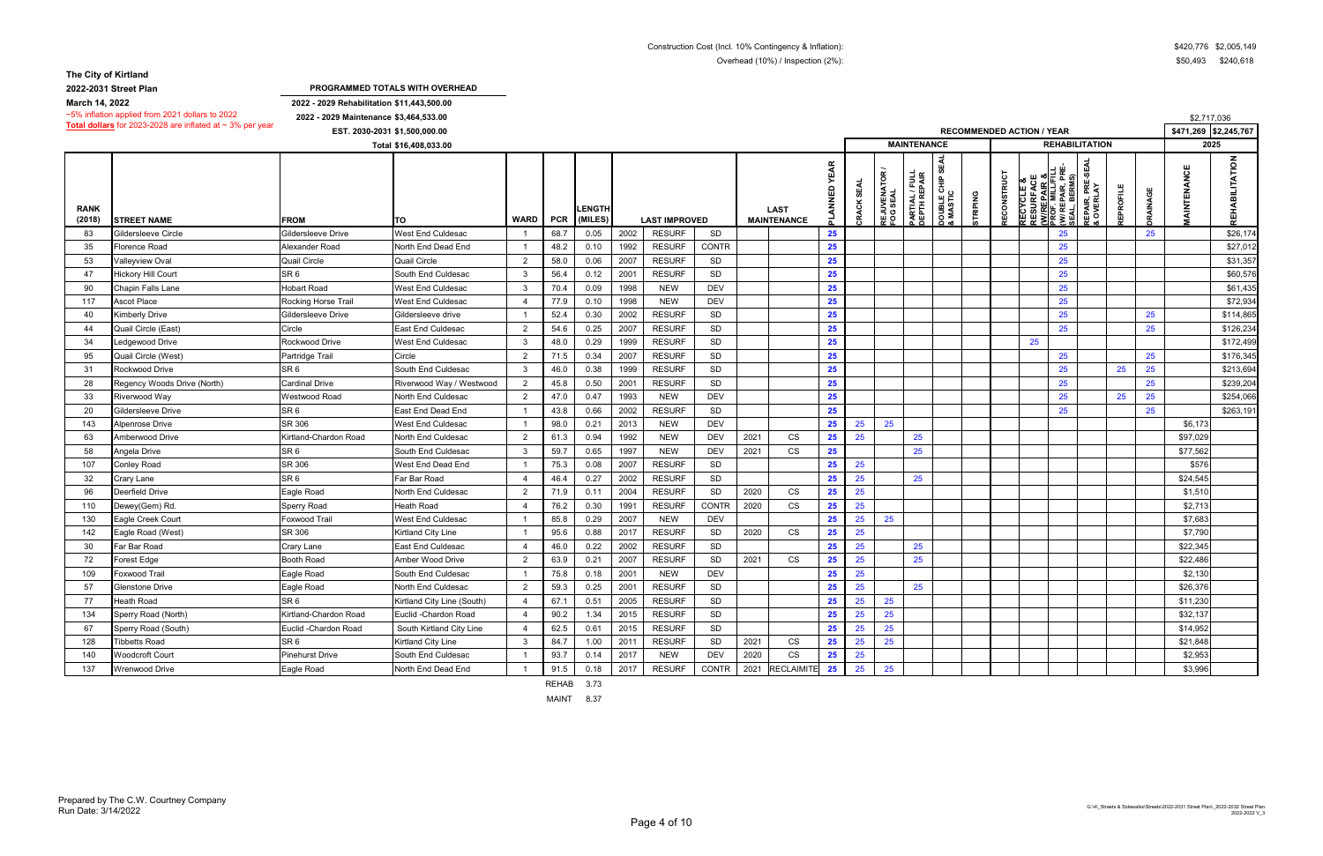**2022-2031 Street Plan**

**2022 - 2029 Rehabilitation \$11,443,500.00 2022 - 2029 Maintenance \$3,464,533.00**

|                       | ~5% initiation applied from 2021 dollars to 2022<br>Total dollars for 2023-2028 are inflated at $\sim$ 3% per year | 2022 - 2029 Maintenance \$3,464,533.00 |                            |                |      |                   |      |                      |              |      |                                   |                              |               |                                 |                                |                                      |                 |             |                                                                                                                          |                                                            |                  |                 | \$2,717,036           |                                     |
|-----------------------|--------------------------------------------------------------------------------------------------------------------|----------------------------------------|----------------------------|----------------|------|-------------------|------|----------------------|--------------|------|-----------------------------------|------------------------------|---------------|---------------------------------|--------------------------------|--------------------------------------|-----------------|-------------|--------------------------------------------------------------------------------------------------------------------------|------------------------------------------------------------|------------------|-----------------|-----------------------|-------------------------------------|
|                       |                                                                                                                    | EST. 2030-2031 \$1,500,000.00          |                            |                |      |                   |      |                      |              |      |                                   |                              |               |                                 |                                |                                      |                 |             | <b>RECOMMENDED ACTION / YEAR</b>                                                                                         |                                                            |                  |                 | \$471,269 \$2,245,767 |                                     |
|                       |                                                                                                                    |                                        | Total \$16,408,033.00      |                |      |                   |      |                      |              |      |                                   |                              |               |                                 | <b>MAINTENANCE</b>             |                                      |                 |             |                                                                                                                          | <b>REHABILITATION</b>                                      |                  |                 | 2025                  |                                     |
| <b>RANK</b><br>(2018) | <b>STREET NAME</b>                                                                                                 | <b>FROM</b>                            | ΤО                         | WARD   PCR     |      | ENGTI-<br>(MILES) |      | <b>LAST IMPROVED</b> |              |      | <b>LAST</b><br><b>MAINTENANCE</b> | <b>YEAR</b><br><b>GANNAJ</b> | SEAL<br>CRACK | <b>REJUVENATOR<br/>FOG SEAL</b> | PARTIAL / FULL<br>DEPTH REPAIR | ₩<br><b>DOUBLE CHIP :<br/>MASTIC</b> | <b>STRIPING</b> | RECONSTRUCT | ш<br><b>RECYCLE &amp;<br/>RESURFACE<br/><u>(WIREPAIR &amp;</u><br/>PROF. MILL/FI<br/>(WI REPAIR, P<br/>(WI REPAIR, P</b> | PRE-SEAL<br>LAY<br>EPAIR, PRI<br>BERMS)<br>EPAIR,<br>OVERL | <b>REPROFILE</b> | <b>JRAINAGE</b> | AINTENANCE            | $\sum_{i=1}^{n}$<br><b>REHABILI</b> |
| 83                    | <b>Gildersleeve Circle</b>                                                                                         | Gildersleeve Drive                     | <b>West End Culdesac</b>   | - 1            | 68.7 | 0.05              | 2002 | <b>RESURF</b>        | SD           |      |                                   | 25                           |               |                                 |                                |                                      |                 |             |                                                                                                                          | 25                                                         |                  | 25              |                       | \$26,174                            |
| 35                    | Florence Road                                                                                                      | Alexander Road                         | North End Dead End         | $\overline{1}$ | 48.2 | 0.10              | 1992 | <b>RESURF</b>        | <b>CONTR</b> |      |                                   | 25                           |               |                                 |                                |                                      |                 |             |                                                                                                                          | 25                                                         |                  |                 |                       | \$27,012                            |
| 53                    | /alleyview Oval                                                                                                    | <b>Quail Circle</b>                    | <b>Quail Circle</b>        | 2              | 58.0 | 0.06              | 2007 | <b>RESURF</b>        | SD           |      |                                   | 25                           |               |                                 |                                |                                      |                 |             |                                                                                                                          | 25                                                         |                  |                 |                       | \$31,357                            |
| 47                    | Hickory Hill Court                                                                                                 | SR <sub>6</sub>                        | South End Culdesac         | 3              | 56.4 | 0.12              | 2001 | <b>RESURF</b>        | SD           |      |                                   | 25                           |               |                                 |                                |                                      |                 |             |                                                                                                                          | 25                                                         |                  |                 |                       | \$60,576                            |
| 90                    | Chapin Falls Lane                                                                                                  | Hobart Road                            | <b>West End Culdesac</b>   | -3             | 70.4 | 0.09              | 1998 | <b>NEW</b>           | <b>DEV</b>   |      |                                   | 25                           |               |                                 |                                |                                      |                 |             |                                                                                                                          | 25                                                         |                  |                 |                       | \$61,435                            |
| 117                   | <b>Ascot Place</b>                                                                                                 | Rocking Horse Trail                    | <b>West End Culdesad</b>   | 4              | 77.9 | 0.10              | 1998 | <b>NEW</b>           | <b>DEV</b>   |      |                                   | 25                           |               |                                 |                                |                                      |                 |             |                                                                                                                          | 25                                                         |                  |                 |                       | \$72,934                            |
| 40                    | Kimberly Drive                                                                                                     | Gildersleeve Drive                     | Gildersleeve drive         | -1             | 52.4 | 0.30              | 2002 | <b>RESURF</b>        | SD           |      |                                   | 25                           |               |                                 |                                |                                      |                 |             |                                                                                                                          | 25                                                         |                  | 25              |                       | \$114,865                           |
| 44                    | Quail Circle (East)                                                                                                | Circle                                 | <b>East End Culdesac</b>   | $\overline{2}$ | 54.6 | 0.25              | 2007 | <b>RESURF</b>        | SD           |      |                                   | 25                           |               |                                 |                                |                                      |                 |             |                                                                                                                          | 25                                                         |                  | 25              |                       | \$126,234                           |
| 34                    | edgewood Drive                                                                                                     | Rockwood Drive                         | <b>West End Culdesac</b>   | -3             | 48.0 | 0.29              | 1999 | <b>RESURF</b>        | SD           |      |                                   | 25                           |               |                                 |                                |                                      |                 |             | 25                                                                                                                       |                                                            |                  |                 |                       | \$172,499                           |
| 95                    | Quail Circle (West)                                                                                                | Partridge Trail                        | Circle                     | 2              | 71.5 | 0.34              | 2007 | <b>RESURF</b>        | SD           |      |                                   | 25                           |               |                                 |                                |                                      |                 |             |                                                                                                                          | 25                                                         |                  | 25              |                       | \$176,345                           |
| 31                    | Rockwood Drive                                                                                                     | SR <sub>6</sub>                        | South End Culdesac         | -3             | 46.0 | 0.38              | 1999 | <b>RESURF</b>        | SD           |      |                                   | 25                           |               |                                 |                                |                                      |                 |             |                                                                                                                          | 25                                                         | 25               | 25              |                       | \$213,694                           |
| 28                    | Regency Woods Drive (North)                                                                                        | <b>Cardinal Drive</b>                  | Riverwood Way / Westwood   | $\overline{2}$ | 45.8 | 0.50              | 2001 | <b>RESURF</b>        | <b>SD</b>    |      |                                   | 25                           |               |                                 |                                |                                      |                 |             |                                                                                                                          | 25                                                         |                  | 25              |                       | \$239,204                           |
| 33                    | Riverwood Way                                                                                                      | Westwood Road                          | <b>North End Culdesac</b>  | $\overline{2}$ | 47.0 | 0.47              | 1993 | <b>NEW</b>           | <b>DEV</b>   |      |                                   | 25                           |               |                                 |                                |                                      |                 |             |                                                                                                                          | 25                                                         | 25               | 25              |                       | \$254,066                           |
| 20                    | Gildersleeve Drive                                                                                                 | SR <sub>6</sub>                        | East End Dead End          | $\mathbf{1}$   | 43.8 | 0.66              | 2002 | <b>RESURF</b>        | SD           |      |                                   | 25                           |               |                                 |                                |                                      |                 |             |                                                                                                                          | 25                                                         |                  | 25              |                       | \$263,191                           |
| 143                   | Alpenrose Drive                                                                                                    | <b>SR 306</b>                          | West End Culdesac          | -1             | 98.0 | 0.21              | 2013 | <b>NEW</b>           | <b>DEV</b>   |      |                                   | 25                           | 25            | 25                              |                                |                                      |                 |             |                                                                                                                          |                                                            |                  |                 | \$6,173               |                                     |
| 63                    | Amberwood Drive                                                                                                    | Kirtland-Chardon Road                  | North End Culdesac         | $\overline{2}$ | 61.3 | 0.94              | 1992 | <b>NEW</b>           | <b>DEV</b>   | 2021 | CS                                | 25                           | 25            |                                 | 25                             |                                      |                 |             |                                                                                                                          |                                                            |                  |                 | \$97,029              |                                     |
| 58                    | Angela Drive                                                                                                       | SR <sub>6</sub>                        | South End Culdesac         | 3              | 59.7 | 0.65              | 1997 | <b>NEW</b>           | <b>DEV</b>   | 2021 | CS                                | 25                           |               |                                 | 25                             |                                      |                 |             |                                                                                                                          |                                                            |                  |                 | \$77,562              |                                     |
| 107                   | Conley Road                                                                                                        | SR 306                                 | West End Dead End          | - 1            | 75.3 | 0.08              | 2007 | <b>RESURF</b>        | <b>SD</b>    |      |                                   | 25                           | 25            |                                 |                                |                                      |                 |             |                                                                                                                          |                                                            |                  |                 | \$576                 |                                     |
| 32                    | Crary Lane                                                                                                         | SR <sub>6</sub>                        | Far Bar Road               | $\overline{4}$ | 46.4 | 0.27              | 2002 | <b>RESURF</b>        | <b>SD</b>    |      |                                   | 25                           | 25            |                                 | 25                             |                                      |                 |             |                                                                                                                          |                                                            |                  |                 | \$24,545              |                                     |
| 96                    | Deerfield Drive                                                                                                    | Eagle Road                             | North End Culdesac         | 2              | 71.9 | 0.11              | 2004 | <b>RESURF</b>        | SD           | 2020 | <b>CS</b>                         | 25                           | 25            |                                 |                                |                                      |                 |             |                                                                                                                          |                                                            |                  |                 | \$1,510               |                                     |
| 110                   | Dewey(Gem) Rd.                                                                                                     | Sperry Road                            | <b>Heath Road</b>          | $\overline{4}$ | 76.2 | 0.30              | 1991 | <b>RESURF</b>        | <b>CONTR</b> | 2020 | CS                                | 25                           | 25            |                                 |                                |                                      |                 |             |                                                                                                                          |                                                            |                  |                 | \$2,713               |                                     |
| 130                   | Eagle Creek Court                                                                                                  | Foxwood Trail                          | <b>West End Culdesac</b>   |                | 85.8 | 0.29              | 2007 | <b>NEW</b>           | <b>DEV</b>   |      |                                   | 25                           | 25            | 25                              |                                |                                      |                 |             |                                                                                                                          |                                                            |                  |                 | \$7,683               |                                     |
| 142                   | Eagle Road (West)                                                                                                  | SR 306                                 | <b>Kirtland City Line</b>  | - 1            | 95.6 | 0.88              | 2017 | <b>RESURF</b>        | SD           | 2020 | CS                                | 25                           | 25            |                                 |                                |                                      |                 |             |                                                                                                                          |                                                            |                  |                 | \$7,790               |                                     |
| 30                    | Far Bar Road                                                                                                       | Crary Lane                             | <b>East End Culdesac</b>   | $\overline{4}$ | 46.0 | 0.22              | 2002 | <b>RESURF</b>        | <b>SD</b>    |      |                                   | 25                           | 25            |                                 | 25                             |                                      |                 |             |                                                                                                                          |                                                            |                  |                 | \$22,345              |                                     |
| 72                    | Forest Edge                                                                                                        | Booth Road                             | Amber Wood Drive           | $\overline{2}$ | 63.9 | 0.21              | 2007 | <b>RESURF</b>        | SD           | 2021 | CS                                | 25                           | 25            |                                 | 25                             |                                      |                 |             |                                                                                                                          |                                                            |                  |                 | \$22,486              |                                     |
| 109                   | Foxwood Trail                                                                                                      | Eagle Road                             | South End Culdesac         | -1             | 75.8 | 0.18              | 2001 | <b>NEW</b>           | <b>DEV</b>   |      |                                   | 25                           | 25            |                                 |                                |                                      |                 |             |                                                                                                                          |                                                            |                  |                 | \$2,130               |                                     |
| 57                    | <b>Glenstone Drive</b>                                                                                             | Eagle Road                             | North End Culdesac         | 2              | 59.3 | 0.25              | 2001 | <b>RESURF</b>        | <b>SD</b>    |      |                                   | 25                           | 25            |                                 | 25                             |                                      |                 |             |                                                                                                                          |                                                            |                  |                 | \$26,376              |                                     |
| 77                    | Heath Road                                                                                                         | SR <sub>6</sub>                        | Kirtland City Line (South) | -4             | 67.1 | 0.51              | 2005 | <b>RESURF</b>        | SD           |      |                                   | 25                           | 25            | 25                              |                                |                                      |                 |             |                                                                                                                          |                                                            |                  |                 | \$11,230              |                                     |
| 134                   | Sperry Road (North)                                                                                                | Kirtland-Chardon Road                  | Euclid - Chardon Road      | $\overline{4}$ | 90.2 | 1.34              | 2015 | <b>RESURF</b>        | SD           |      |                                   | 25                           | 25            | 25                              |                                |                                      |                 |             |                                                                                                                          |                                                            |                  |                 | \$32,137              |                                     |
| 67                    | Sperry Road (South)                                                                                                | Euclid - Chardon Road                  | South Kirtland City Line   | $\overline{4}$ | 62.5 | 0.61              | 2015 | <b>RESURF</b>        | SD           |      |                                   | 25                           | 25            | 25                              |                                |                                      |                 |             |                                                                                                                          |                                                            |                  |                 | \$14,952              |                                     |
| 128                   | <b>Tibbetts Road</b>                                                                                               | SR <sub>6</sub>                        | Kirtland City Line         | $\mathbf{3}$   | 84.7 | 1.00              | 2011 | <b>RESURF</b>        | SD           | 2021 | CS                                | 25                           | 25            | 25                              |                                |                                      |                 |             |                                                                                                                          |                                                            |                  |                 | \$21,848              |                                     |
| 140                   | <b>Noodcroft Court</b>                                                                                             | Pinehurst Drive                        | South End Culdesac         |                | 93.7 | 0.14              | 2017 | <b>NEW</b>           | <b>DEV</b>   | 2020 | <b>CS</b>                         | 25                           | 25            |                                 |                                |                                      |                 |             |                                                                                                                          |                                                            |                  |                 | \$2,953               |                                     |
| 137                   | Wrenwood Drive                                                                                                     | Eagle Road                             | North End Dead End         |                | 91.5 | 0.18              | 2017 | <b>RESURF</b>        | <b>CONTR</b> | 2021 | <b>RECLAIMITE</b>                 | 25                           | 25            | 25                              |                                |                                      |                 |             |                                                                                                                          |                                                            |                  |                 | \$3,996               |                                     |

REHAB 3.73

MAINT 8.37

**PROGRAMMED TOTALS WITH OVERHEAD**

**March 14, 2022**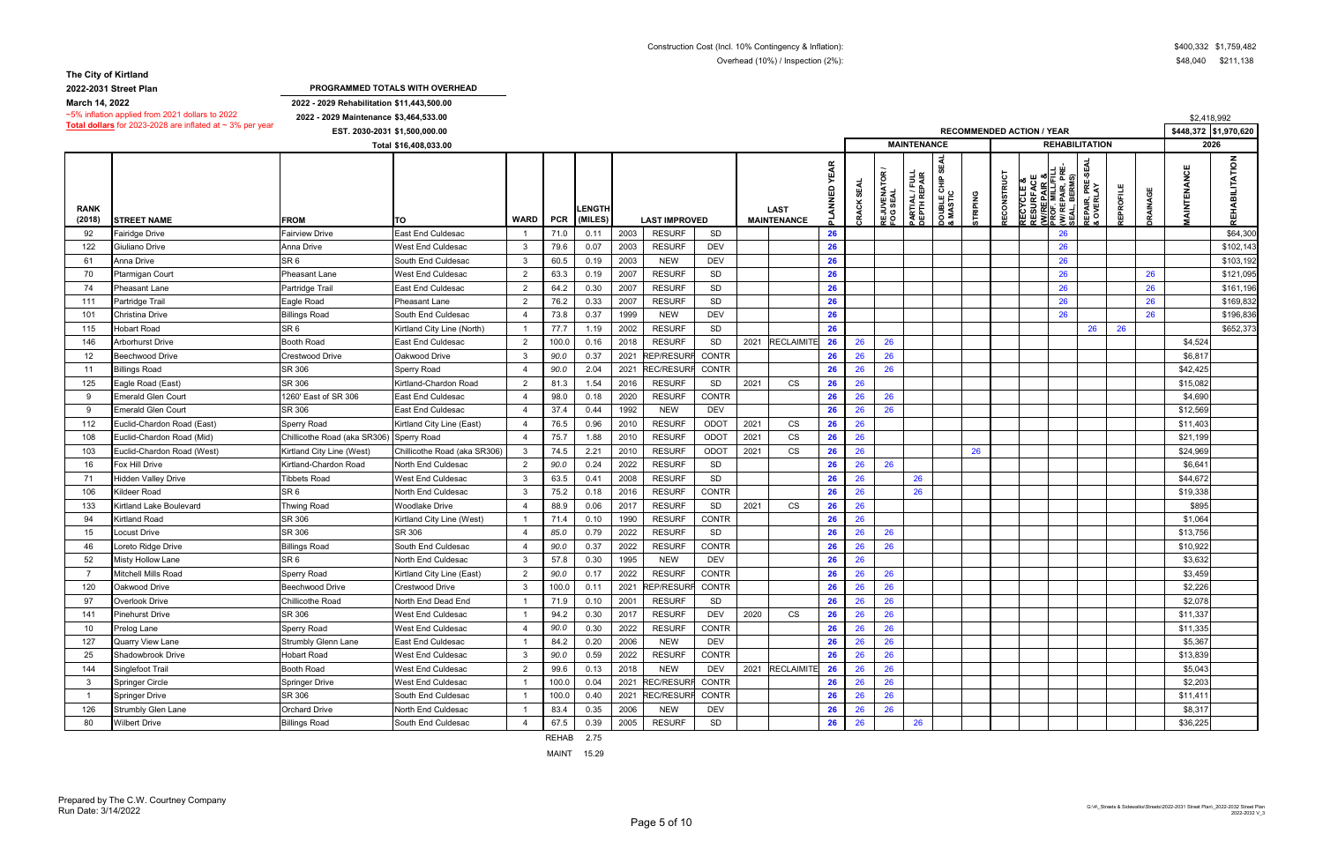**2022-2031 Street Plan**

**2022 - 2029 Rehabilitation \$11,443,500.00**

|                       | $\sim$ 5% inflation applied from 2021 dollars to 2022          | 2022 - 2029 Maintenance \$3,464,533.00 |                               |                |            |                          |      |                      |              |                                   |                              |                             |                                                |                                |                                                   |                |            |                                                                    |                                                                |          |                 | \$2,418,992                             |
|-----------------------|----------------------------------------------------------------|----------------------------------------|-------------------------------|----------------|------------|--------------------------|------|----------------------|--------------|-----------------------------------|------------------------------|-----------------------------|------------------------------------------------|--------------------------------|---------------------------------------------------|----------------|------------|--------------------------------------------------------------------|----------------------------------------------------------------|----------|-----------------|-----------------------------------------|
|                       | Total dollars for 2023-2028 are inflated at $\sim$ 3% per year |                                        | EST. 2030-2031 \$1,500,000.00 |                |            |                          |      |                      |              |                                   |                              |                             |                                                |                                |                                                   |                |            | <b>RECOMMENDED ACTION / YEAR</b>                                   |                                                                |          |                 | \$448,372 \$1,970,620                   |
|                       |                                                                |                                        | Total \$16,408,033.00         |                |            |                          |      |                      |              |                                   |                              |                             |                                                | <b>MAINTENANCE</b>             |                                                   |                |            |                                                                    | <b>REHABILITATION</b>                                          |          |                 | 2026                                    |
| <b>RANK</b><br>(2018) | <b>STREET NAME</b>                                             | <b>FROM</b>                            | <b>ITO</b>                    | <b>WARD</b>    | <b>PCR</b> | <b>LENGTH</b><br>(MILES) |      | <b>LAST IMPROVED</b> |              | <b>LAST</b><br><b>MAINTENANCE</b> | <b>YEAR</b><br>$\frac{z}{z}$ | <b>SEAL</b><br><b>CRACK</b> | $\alpha$<br>ဥ<br><b>REJUVENAT<br/>FOG SEAL</b> | PARTIAL / FULL<br>DEPTH REPAIR | <b>S</b><br><b>DOUBLE CHIP :<br/>&amp; MASTIC</b> | <b>TRIPING</b> | RECONSTRUC | RECYCLE &<br>RESURFACE<br><u>(W/REPAIR &amp;</u><br>PROF. MILL/FIL | ဟု<br>၉ ဖ<br>ጅ<br>ኛ<br>:PAIR, I<br>BERM:<br>REPAIR,<br>& OVERL | EPROFILE | <b>JRAINAGE</b> | $\frac{z}{2}$<br><b>AINTENANCE</b><br>폾 |
| 92                    | Fairidge Drive                                                 | <b>Fairview Drive</b>                  | East End Culdesac             |                | 71.0       | 0.11                     | 2003 | <b>RESURF</b>        | SD           |                                   | 26                           |                             |                                                |                                |                                                   |                |            |                                                                    | 26                                                             |          |                 | \$64,300                                |
| 122                   | Giuliano Drive                                                 | Anna Drive                             | West End Culdesac             | $\mathcal{R}$  | 79.6       | 0.07                     | 2003 | <b>RESURF</b>        | <b>DEV</b>   |                                   | 26                           |                             |                                                |                                |                                                   |                |            |                                                                    | 26                                                             |          |                 | \$102,143                               |
| 61                    | <b>Anna Drive</b>                                              | SR <sub>6</sub>                        | South End Culdesac            | 3              | 60.5       | 0.19                     | 2003 | <b>NEW</b>           | <b>DEV</b>   |                                   | 26                           |                             |                                                |                                |                                                   |                |            |                                                                    | 26                                                             |          |                 | \$103,192                               |
| 70                    | Ptarmigan Court                                                | Pheasant Lane                          | West End Culdesac             | 2              | 63.3       | 0.19                     | 2007 | <b>RESURF</b>        | SD           |                                   | 26                           |                             |                                                |                                |                                                   |                |            |                                                                    | 26                                                             |          | 26              | \$121,095                               |
| 74                    | Pheasant Lane                                                  | Partridge Trail                        | <b>East End Culdesac</b>      | $\overline{2}$ | 64.2       | 0.30                     | 2007 | <b>RESURF</b>        | SD           |                                   | 26                           |                             |                                                |                                |                                                   |                |            |                                                                    | 26                                                             |          | 26              | \$161,196                               |
| 111                   | Partridge Trail                                                | Eagle Road                             | <b>Pheasant Lane</b>          | $\overline{2}$ | 76.2       | 0.33                     | 2007 | <b>RESURF</b>        | SD           |                                   | 26                           |                             |                                                |                                |                                                   |                |            |                                                                    | 26                                                             |          | 26              | \$169,832                               |
| 101                   | Christina Drive                                                | <b>Billings Road</b>                   | South End Culdesac            |                | 73.8       | 0.37                     | 1999 | <b>NEW</b>           | <b>DEV</b>   |                                   | 26                           |                             |                                                |                                |                                                   |                |            |                                                                    | 26                                                             |          | 26              | \$196,836                               |
| 115                   | <b>Hobart Road</b>                                             | SR <sub>6</sub>                        | Kirtland City Line (North)    |                | 77.7       | 1.19                     | 2002 | <b>RESURF</b>        | SD           |                                   | 26                           |                             |                                                |                                |                                                   |                |            |                                                                    | 26                                                             | 26       |                 | \$652,373                               |
| 146                   | Arborhurst Drive                                               | Booth Road                             | <b>East End Culdesac</b>      | 2              | 100.0      | 0.16                     | 2018 | <b>RESURF</b>        | SD           | 2021 RECLAIMITE                   | 26                           | 26                          | 26                                             |                                |                                                   |                |            |                                                                    |                                                                |          |                 | \$4,524                                 |
| 12                    | <b>Beechwood Drive</b>                                         | Crestwood Drive                        | Oakwood Drive                 | -3             | 90.0       | 0.37                     | 2021 | <b>REP/RESURI</b>    | CONTR        |                                   | 26                           | 26                          | 26                                             |                                |                                                   |                |            |                                                                    |                                                                |          |                 | \$6,817                                 |
| 11                    | <b>Billings Road</b>                                           | SR 306                                 | Sperry Road                   |                | 90.0       | 2.04                     | 2021 | <b>REC/RESURI</b>    | <b>CONTR</b> |                                   | 26                           | 26                          | 26                                             |                                |                                                   |                |            |                                                                    |                                                                |          |                 | \$42,425                                |
| 125                   | Eagle Road (East)                                              | SR 306                                 | Kirtland-Chardon Road         |                | 81.3       | 1.54                     | 2016 | <b>RESURF</b>        | SD           | 2021<br><b>CS</b>                 | 26                           | 26                          |                                                |                                |                                                   |                |            |                                                                    |                                                                |          |                 | \$15,082                                |
| - 9                   | Emerald Glen Court                                             | 1260' East of SR 306                   | East End Culdesac             |                | 98.0       | 0.18                     | 2020 | <b>RESURF</b>        | <b>CONTR</b> |                                   | 26                           | 26                          | 26                                             |                                |                                                   |                |            |                                                                    |                                                                |          |                 | \$4,690                                 |
| -9                    | Emerald Glen Court                                             | SR 306                                 | East End Culdesac             |                | 37.4       | 0.44                     | 1992 | <b>NEW</b>           | DEV          |                                   | 26                           | 26                          | 26                                             |                                |                                                   |                |            |                                                                    |                                                                |          |                 | \$12,569                                |
| 112                   | Euclid-Chardon Road (East)                                     | <b>Sperry Road</b>                     | Kirtland City Line (East)     | -4             | 76.5       | 0.96                     | 2010 | <b>RESURF</b>        | ODOT         | 2021<br>CS                        | 26                           | 26                          |                                                |                                |                                                   |                |            |                                                                    |                                                                |          |                 | \$11,403                                |
| 108                   | Euclid-Chardon Road (Mid)                                      | Chillicothe Road (aka SR306)           | <b>Sperry Road</b>            |                | 75.7       | 1.88                     | 2010 | <b>RESURF</b>        | ODOT         | 2021<br>CS                        | 26                           | 26                          |                                                |                                |                                                   |                |            |                                                                    |                                                                |          |                 | \$21,199                                |
| 103                   | Euclid-Chardon Road (West)                                     | Kirtland City Line (West)              | Chillicothe Road (aka SR306)  |                | 74.5       | 2.21                     | 2010 | <b>RESURF</b>        | ODOT         | 2021<br><b>CS</b>                 | 26                           | 26                          |                                                |                                |                                                   | 26             |            |                                                                    |                                                                |          |                 | \$24,969                                |
| 16                    | Fox Hill Drive                                                 | Kirtland-Chardon Road                  | North End Culdesac            | $\overline{2}$ | 90.0       | 0.24                     | 2022 | <b>RESURF</b>        | SD           |                                   | 26                           | 26                          | 26                                             |                                |                                                   |                |            |                                                                    |                                                                |          |                 | \$6,641                                 |
| 71                    | lidden Valley Drive                                            | Tibbets Road                           | West End Culdesac             | 3              | 63.5       | 0.41                     | 2008 | <b>RESURF</b>        | SD           |                                   | 26                           | 26                          |                                                | 26                             |                                                   |                |            |                                                                    |                                                                |          |                 | \$44,672                                |
| 106                   | Kildeer Road                                                   | SR <sub>6</sub>                        | North End Culdesac            | -3             | 75.2       | 0.18                     | 2016 | <b>RESURF</b>        | CONTR        |                                   | 26                           | 26                          |                                                | 26                             |                                                   |                |            |                                                                    |                                                                |          |                 | \$19,338                                |
| 133                   | Kirtland Lake Boulevard                                        | <b>Thwing Road</b>                     | Woodlake Drive                |                | 88.9       | 0.06                     | 2017 | <b>RESURF</b>        | SD           | 2021<br><b>CS</b>                 | 26                           | 26                          |                                                |                                |                                                   |                |            |                                                                    |                                                                |          |                 | \$895                                   |
| 94                    | <b>Kirtland Road</b>                                           | SR 306                                 | Kirtland City Line (West)     |                | 71.4       | 0.10                     | 1990 | <b>RESURF</b>        | CONTR        |                                   | 26                           | 26                          |                                                |                                |                                                   |                |            |                                                                    |                                                                |          |                 | \$1,064                                 |
| 15                    | ocust Drive                                                    | SR 306                                 | SR 306                        |                | 85.0       | 0.79                     | 2022 | <b>RESURF</b>        | SD           |                                   | 26                           | 26                          | 26                                             |                                |                                                   |                |            |                                                                    |                                                                |          |                 | \$13,756                                |
| 46                    | oreto Ridge Drive                                              | <b>Billings Road</b>                   | South End Culdesac            |                | 90.0       | 0.37                     | 2022 | <b>RESURF</b>        | <b>CONTR</b> |                                   | 26                           | 26                          | 26                                             |                                |                                                   |                |            |                                                                    |                                                                |          |                 | \$10,922                                |
| 52                    | <b>Misty Hollow Lane</b>                                       | SR <sub>6</sub>                        | North End Culdesac            | -3             | 57.8       | 0.30                     | 1995 | <b>NEW</b>           | <b>DEV</b>   |                                   | 26                           | 26                          |                                                |                                |                                                   |                |            |                                                                    |                                                                |          |                 | \$3,632                                 |
|                       | <b>Mitchell Mills Road</b>                                     | <b>Sperry Road</b>                     | Kirtland City Line (East)     | $\overline{2}$ | 90.0       | 0.17                     | 2022 | <b>RESURF</b>        | <b>CONTR</b> |                                   | 26                           | 26                          | 26                                             |                                |                                                   |                |            |                                                                    |                                                                |          |                 | \$3,459                                 |
| 120                   | Oakwood Drive                                                  | Beechwood Drive                        | Crestwood Drive               | -3             | 100.0      | 0.11                     | 2021 | <b>REP/RESURF</b>    | <b>CONTR</b> |                                   | 26                           | 26                          | 26                                             |                                |                                                   |                |            |                                                                    |                                                                |          |                 | \$2,226                                 |
| 97                    | Overlook Drive                                                 | Chillicothe Road                       | North End Dead End            |                | 71.9       | 0.10                     | 2001 | <b>RESURF</b>        | SD           |                                   | 26                           | 26                          | 26                                             |                                |                                                   |                |            |                                                                    |                                                                |          |                 | \$2,078                                 |
| 141                   | Pinehurst Drive                                                | SR 306                                 | West End Culdesac             |                | 94.2       | 0.30                     | 2017 | <b>RESURF</b>        | DEV          | 2020<br><b>CS</b>                 | 26                           | 26                          | 26                                             |                                |                                                   |                |            |                                                                    |                                                                |          |                 | \$11,337                                |
| 10                    | Prelog Lane                                                    | Sperry Road                            | West End Culdesac             |                | 90.0       | 0.30                     | 2022 | <b>RESURF</b>        | CONTR        |                                   | 26                           | 26                          | 26                                             |                                |                                                   |                |            |                                                                    |                                                                |          |                 | \$11,335                                |
| 127                   | <b>Quarry View Lane</b>                                        | Strumbly Glenn Lane                    | East End Culdesac             |                | 84.2       | 0.20                     | 2006 | <b>NEW</b>           | DEV          |                                   | 26                           | 26                          | 26                                             |                                |                                                   |                |            |                                                                    |                                                                |          |                 | \$5,367                                 |
| 25                    | Shadowbrook Drive                                              | <b>Hobart Road</b>                     | West End Culdesac             | 3              | 90.0       | 0.59                     | 2022 | <b>RESURF</b>        | CONTR        |                                   | 26                           | 26                          | 26                                             |                                |                                                   |                |            |                                                                    |                                                                |          |                 | \$13,839                                |
| 144                   | Singlefoot Trail                                               | Booth Road                             | West End Culdesac             | 2              | 99.6       | 0.13                     | 2018 | <b>NEW</b>           | <b>DEV</b>   | 2021 RECLAIMITE                   | 26                           | 26                          | 26                                             |                                |                                                   |                |            |                                                                    |                                                                |          |                 | \$5,043                                 |
| -3                    | Springer Circle                                                | <b>Springer Drive</b>                  | West End Culdesac             |                | 100.0      | 0.04                     | 2021 | <b>REC/RESUR</b>     | <b>CONTR</b> |                                   | 26                           | 26                          | 26                                             |                                |                                                   |                |            |                                                                    |                                                                |          |                 | \$2,203                                 |
|                       | <b>Springer Drive</b>                                          | SR 306                                 | South End Culdesac            |                | 100.0      | 0.40                     | 2021 | <b>REC/RESURF</b>    | CONTR        |                                   | 26                           | 26                          | 26                                             |                                |                                                   |                |            |                                                                    |                                                                |          |                 | \$11,411                                |
| 126                   | <b>Strumbly Glen Lane</b>                                      | <b>Orchard Drive</b>                   | North End Culdesac            |                | 83.4       | 0.35                     | 2006 | <b>NEW</b>           | <b>DEV</b>   |                                   | 26                           | 26                          | 26                                             |                                |                                                   |                |            |                                                                    |                                                                |          |                 | \$8,317                                 |
| 80                    | <b>Wilbert Drive</b>                                           | <b>Billings Road</b>                   | South End Culdesac            |                | 67.5       | 0.39                     | 2005 | <b>RESURF</b>        | SD           |                                   | 26                           | 26                          |                                                | 26                             |                                                   |                |            |                                                                    |                                                                |          |                 | \$36,225                                |

REHAB 2.75

MAINT 15.29

**PROGRAMMED TOTALS WITH OVERHEAD**

**March 14, 2022**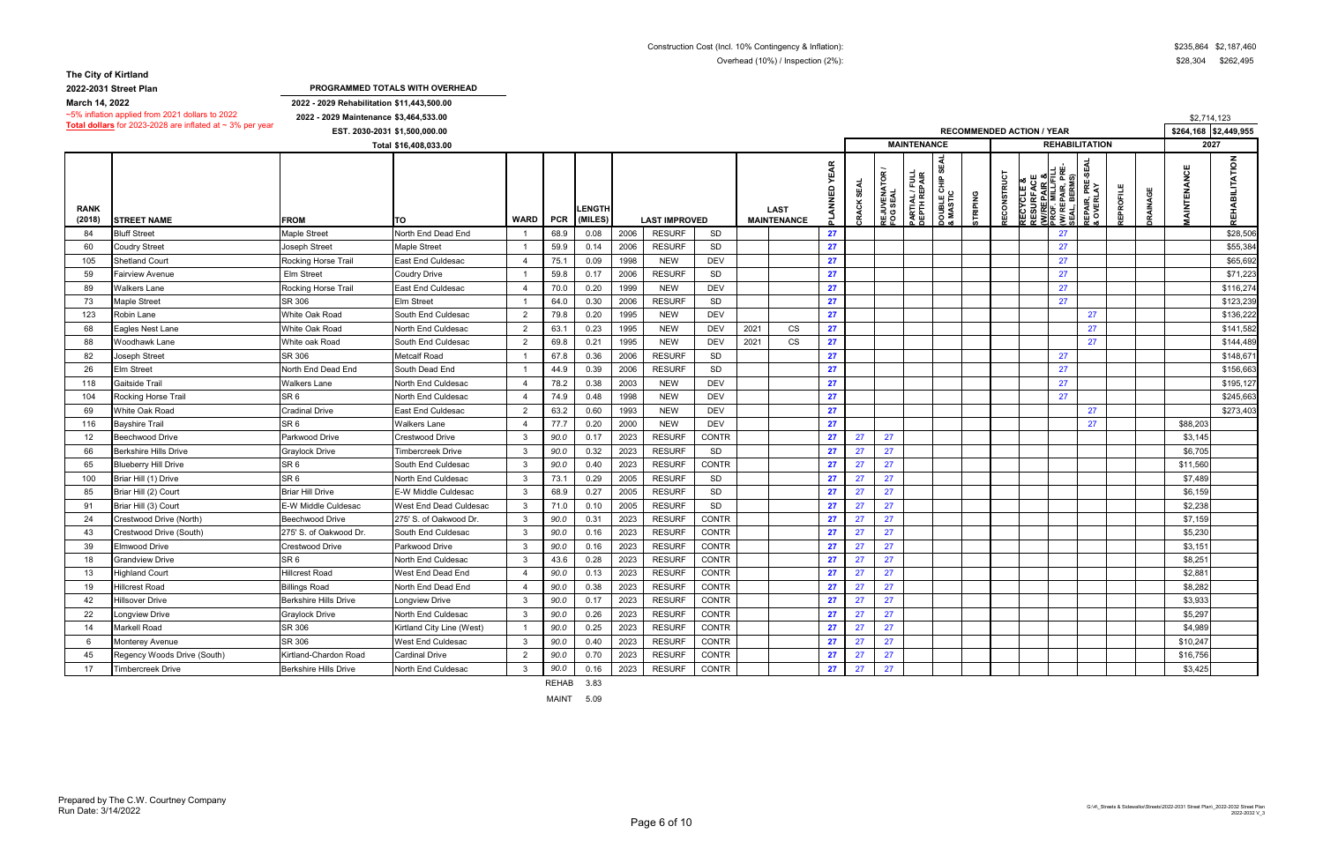**2022-2031 Street Plan**

**2022 - 2029 Rehabilitation \$11,443,500.00**

**2022 - 2029 Maintenance \$3,464,533.00 EST. 2030-2031 \$1,500,000.00 \$264,168 \$2,449,955**

~5% inflation applied from 2021 dollars to 2022 **Total dollars** for 2023-2028 are inflated at ~ 3% per year

|                 |                    |                                                                                                                         |                               |           |                 | \$2,714,123 |                  |
|-----------------|--------------------|-------------------------------------------------------------------------------------------------------------------------|-------------------------------|-----------|-----------------|-------------|------------------|
|                 |                    | <b>IMENDED ACTION / YEAR</b>                                                                                            |                               |           |                 | \$264,168   | \$2,449,955      |
|                 |                    | <b>REHABILITATION</b>                                                                                                   |                               |           |                 |             | $\frac{1}{2027}$ |
| <b>STRIPING</b> | <b>RECONSTRUCT</b> | <b>RECYCLE &amp;<br/>RESURFACE<br/><u>(WIREPAIR &amp;</u><br/>PROF. MILL/FILL<br/>(WI REPAIR, PRE-<br/>SEAL, BERMS)</b> | REPAIR, PRE-SEAL<br>& OVERLAY | REPROFILE | <b>DRAINAGE</b> | MAINTENANCE | REHABILITATION   |
|                 |                    | 27                                                                                                                      |                               |           |                 |             | \$28,506         |
|                 |                    | 27                                                                                                                      |                               |           |                 |             | \$55,384         |
|                 |                    | 27                                                                                                                      |                               |           |                 |             | \$65,692         |
|                 |                    | 27                                                                                                                      |                               |           |                 |             | \$71,223         |
|                 |                    | 27                                                                                                                      |                               |           |                 |             | \$116,274        |
|                 |                    | 27                                                                                                                      |                               |           |                 |             | \$123,239        |
|                 |                    |                                                                                                                         | 27                            |           |                 |             | \$136,222        |
|                 |                    |                                                                                                                         | 27                            |           |                 |             | \$141,582        |
|                 |                    |                                                                                                                         | 27                            |           |                 |             | \$144,489        |
|                 |                    | 27                                                                                                                      |                               |           |                 |             | \$148,671        |
|                 |                    | 27                                                                                                                      |                               |           |                 |             | \$156,663        |
|                 |                    | 27                                                                                                                      |                               |           |                 |             | \$195,127        |
|                 |                    | 27                                                                                                                      |                               |           |                 |             | \$245,663        |
|                 |                    |                                                                                                                         | 27                            |           |                 |             | \$273,403        |
|                 |                    |                                                                                                                         | 27                            |           |                 | \$88,203    |                  |
|                 |                    |                                                                                                                         |                               |           |                 | \$3,145     |                  |
|                 |                    |                                                                                                                         |                               |           |                 | \$6,705     |                  |
|                 |                    |                                                                                                                         |                               |           |                 | \$11,560    |                  |
|                 |                    |                                                                                                                         |                               |           |                 | \$7,489     |                  |
|                 |                    |                                                                                                                         |                               |           |                 | \$6,159     |                  |
|                 |                    |                                                                                                                         |                               |           |                 | \$2,238     |                  |
|                 |                    |                                                                                                                         |                               |           |                 | \$7,159     |                  |
|                 |                    |                                                                                                                         |                               |           |                 | \$5,230     |                  |
|                 |                    |                                                                                                                         |                               |           |                 | \$3,151     |                  |
|                 |                    |                                                                                                                         |                               |           |                 | \$8,251     |                  |
|                 |                    |                                                                                                                         |                               |           |                 | \$2,881     |                  |
|                 |                    |                                                                                                                         |                               |           |                 | \$8,282     |                  |
|                 |                    |                                                                                                                         |                               |           |                 | \$3,933     |                  |
|                 |                    |                                                                                                                         |                               |           |                 | \$5,297     |                  |
|                 |                    |                                                                                                                         |                               |           |                 | \$4,989     |                  |
|                 |                    |                                                                                                                         |                               |           |                 | \$10,247    |                  |
|                 |                    |                                                                                                                         |                               |           |                 | \$16,756    |                  |
|                 |                    |                                                                                                                         |                               |           |                 | \$3,425     |                  |

|                       |                              |                              | Total \$16,408,033.00     |                |            |                          |      |                      |              |      |                                   |                  |                      |                        | <b>MAINTENANCE</b>             |                                                        |                 |             |                                    | <b>REHABILITATION</b>                                                          |                                        |                 |                 | 2027       |                |
|-----------------------|------------------------------|------------------------------|---------------------------|----------------|------------|--------------------------|------|----------------------|--------------|------|-----------------------------------|------------------|----------------------|------------------------|--------------------------------|--------------------------------------------------------|-----------------|-------------|------------------------------------|--------------------------------------------------------------------------------|----------------------------------------|-----------------|-----------------|------------|----------------|
| <b>RANK</b><br>(2018) | <b>STREET NAME</b>           | <b>FROM</b>                  | lTO.                      | WARD           | <b>PCR</b> | <b>LENGTH</b><br>(MILES) |      | <b>LAST IMPROVED</b> |              |      | <b>LAST</b><br><b>MAINTENANCE</b> | <b>YEAR</b><br>品 | <b>REAL</b><br>CRACK | REJUVENATO<br>FOG SEAL | PARTIAL / FULL<br>DEPTH REPAIR | 뙻<br><u>ທ</u><br><b>DOUBLE CHIP :<br/>&amp; MASTIC</b> | <b>STRIPING</b> | RECONSTRUCT | <b>RECYCLE &amp;<br/>RESURFACE</b> | RESURFACE<br>W/REPAIR &<br>PROF. MILL/FILL<br>(W/ REPAIR, PRE-<br>SEAL, BERMS) | SEA<br>PRÉ.<br>뎞<br><b>REPAIR</b><br>δ | <b>EPROFILE</b> | <b>DRAINAGE</b> | AINTENANCE | REHABILITATION |
| 84                    | <b>Bluff Street</b>          | <b>Maple Street</b>          | North End Dead End        |                | 68.9       | 0.08                     | 2006 | <b>RESURF</b>        | SD           |      |                                   | 27               |                      |                        |                                |                                                        |                 |             |                                    | 27                                                                             |                                        |                 |                 |            | \$28,506       |
| 60                    | Coudry Street                | Joseph Street                | <b>Maple Street</b>       |                | 59.9       | 0.14                     | 2006 | <b>RESURF</b>        | <b>SD</b>    |      |                                   | 27               |                      |                        |                                |                                                        |                 |             |                                    | 27                                                                             |                                        |                 |                 |            | \$55,384       |
| 105                   | Shetland Court               | Rocking Horse Trail          | East End Culdesac         | $\overline{4}$ | 75.1       | 0.09                     | 1998 | <b>NEW</b>           | <b>DEV</b>   |      |                                   | 27               |                      |                        |                                |                                                        |                 |             |                                    | 27                                                                             |                                        |                 |                 |            | \$65,692       |
| 59                    | Fairview Avenue              | <b>Elm Street</b>            | Coudry Drive              |                | 59.8       | 0.17                     | 2006 | <b>RESURF</b>        | <b>SD</b>    |      |                                   | 27               |                      |                        |                                |                                                        |                 |             |                                    | 27                                                                             |                                        |                 |                 |            | \$71,223       |
| 89                    | Walkers Lane                 | Rocking Horse Trail          | East End Culdesac         |                | 70.0       | 0.20                     | 1999 | <b>NEW</b>           | <b>DEV</b>   |      |                                   | 27               |                      |                        |                                |                                                        |                 |             |                                    | 27                                                                             |                                        |                 |                 |            | \$116,274      |
| 73                    | Maple Street                 | SR 306                       | <b>Elm Street</b>         |                | 64.0       | 0.30                     | 2006 | <b>RESURF</b>        | SD           |      |                                   | 27               |                      |                        |                                |                                                        |                 |             |                                    | 27                                                                             |                                        |                 |                 |            | \$123,239      |
| 123                   | Robin Lane                   | White Oak Road               | South End Culdesac        | $\overline{2}$ | 79.8       | 0.20                     | 1995 | <b>NEW</b>           | <b>DEV</b>   |      |                                   | 27               |                      |                        |                                |                                                        |                 |             |                                    |                                                                                | 27                                     |                 |                 |            | \$136,222      |
| 68                    | Eagles Nest Lane             | White Oak Road               | North End Culdesac        | $\overline{2}$ | 63.1       | 0.23                     | 1995 | <b>NEW</b>           | <b>DEV</b>   | 2021 | CS                                | 27               |                      |                        |                                |                                                        |                 |             |                                    |                                                                                | 27                                     |                 |                 |            | \$141,582      |
| 88                    | <b>Noodhawk Lane</b>         | White oak Road               | South End Culdesac        | $\overline{2}$ | 69.8       | 0.21                     | 1995 | <b>NEW</b>           | <b>DEV</b>   | 2021 | CS                                | 27               |                      |                        |                                |                                                        |                 |             |                                    |                                                                                | 27                                     |                 |                 |            | \$144,489      |
| 82                    | <b>Joseph Street</b>         | SR 306                       | <b>Metcalf Road</b>       |                | 67.8       | 0.36                     | 2006 | <b>RESURF</b>        | SD           |      |                                   | 27               |                      |                        |                                |                                                        |                 |             |                                    | 27                                                                             |                                        |                 |                 |            | \$148,671      |
| 26                    | Elm Street                   | North End Dead End           | South Dead End            |                | 44.9       | 0.39                     | 2006 | <b>RESURF</b>        | <b>SD</b>    |      |                                   | 27               |                      |                        |                                |                                                        |                 |             |                                    | 27                                                                             |                                        |                 |                 |            | \$156,663      |
| 118                   | Gaitside Trail               | Walkers Lane                 | North End Culdesac        | $\overline{4}$ | 78.2       | 0.38                     | 2003 | <b>NEW</b>           | <b>DEV</b>   |      |                                   | 27               |                      |                        |                                |                                                        |                 |             |                                    | 27                                                                             |                                        |                 |                 |            | \$195,127      |
| 104                   | Rocking Horse Trail          | SR 6                         | North End Culdesac        | $\overline{4}$ | 74.9       | 0.48                     | 1998 | <b>NEW</b>           | <b>DEV</b>   |      |                                   | 27               |                      |                        |                                |                                                        |                 |             |                                    | 27                                                                             |                                        |                 |                 |            | \$245,663      |
| 69                    | <b>Nhite Oak Road</b>        | Cradinal Drive               | <b>East End Culdesac</b>  | $\overline{2}$ | 63.2       | 0.60                     | 1993 | <b>NEW</b>           | <b>DEV</b>   |      |                                   | 27               |                      |                        |                                |                                                        |                 |             |                                    |                                                                                | 27                                     |                 |                 |            | \$273,403      |
| 116                   | Bayshire Trail               | SR 6                         | <b>Walkers Lane</b>       | $\overline{4}$ | 77.7       | 0.20                     | 2000 | <b>NEW</b>           | <b>DEV</b>   |      |                                   | 27               |                      |                        |                                |                                                        |                 |             |                                    |                                                                                | 27                                     |                 |                 | \$88,203   |                |
| 12                    | Beechwood Drive              | Parkwood Drive               | Crestwood Drive           | 3              | 90.0       | 0.17                     | 2023 | <b>RESURF</b>        | <b>CONTR</b> |      |                                   | 27               | 27                   | 27                     |                                |                                                        |                 |             |                                    |                                                                                |                                        |                 |                 | \$3,145    |                |
| 66                    | <b>Berkshire Hills Drive</b> | Graylock Drive               | Timbercreek Drive         | $\mathbf{3}$   | 90.0       | 0.32                     | 2023 | <b>RESURF</b>        | SD           |      |                                   | 27               | 27                   | 27                     |                                |                                                        |                 |             |                                    |                                                                                |                                        |                 |                 | \$6,705    |                |
| 65                    | <b>Blueberry Hill Drive</b>  | SR <sub>6</sub>              | South End Culdesac        | -3             | 90.0       | 0.40                     | 2023 | <b>RESURF</b>        | CONTR        |      |                                   | 27               | 27                   | 27                     |                                |                                                        |                 |             |                                    |                                                                                |                                        |                 |                 | \$11,560   |                |
| 100                   | Briar Hill (1) Drive         | SR <sub>6</sub>              | North End Culdesac        | $\mathbf{3}$   | 73.1       | 0.29                     | 2005 | <b>RESURF</b>        | SD           |      |                                   | 27               | 27                   | 27                     |                                |                                                        |                 |             |                                    |                                                                                |                                        |                 |                 | \$7,489    |                |
| 85                    | Briar Hill (2) Court         | <b>Briar Hill Drive</b>      | E-W Middle Culdesac       | -3             | 68.9       | 0.27                     | 2005 | <b>RESURF</b>        | SD           |      |                                   | 27               | 27                   | 27                     |                                |                                                        |                 |             |                                    |                                                                                |                                        |                 |                 | \$6,159    |                |
| 91                    | 3riar Hill (3) Court         | E-W Middle Culdesac          | West End Dead Culdesac    | -3             | 71.0       | 0.10                     | 2005 | <b>RESURF</b>        | SD           |      |                                   | 27               | 27                   | 27                     |                                |                                                        |                 |             |                                    |                                                                                |                                        |                 |                 | \$2,238    |                |
| 24                    | Crestwood Drive (North)      | Beechwood Drive              | 275' S. of Oakwood Dr.    | -3             | 90.0       | 0.31                     | 2023 | <b>RESURF</b>        | <b>CONTR</b> |      |                                   | 27               | 27                   | 27                     |                                |                                                        |                 |             |                                    |                                                                                |                                        |                 |                 | \$7,159    |                |
| 43                    | Crestwood Drive (South)      | 275' S. of Oakwood Dr        | South End Culdesac        | 3              | 90.0       | 0.16                     | 2023 | <b>RESURF</b>        | <b>CONTR</b> |      |                                   | 27               | 27                   | 27                     |                                |                                                        |                 |             |                                    |                                                                                |                                        |                 |                 | \$5,230    |                |
| 39                    | Elmwood Drive                | Crestwood Drive              | Parkwood Drive            | -3             | 90.0       | 0.16                     | 2023 | <b>RESURF</b>        | <b>CONTR</b> |      |                                   | 27               | 27                   | 27                     |                                |                                                        |                 |             |                                    |                                                                                |                                        |                 |                 | \$3,151    |                |
| 18                    | Grandview Drive              | SR 6                         | North End Culdesac        | -3             | 43.6       | 0.28                     | 2023 | <b>RESURF</b>        | CONTR        |      |                                   | 27               | 27                   | 27                     |                                |                                                        |                 |             |                                    |                                                                                |                                        |                 |                 | \$8,251    |                |
| 13                    | <b>Highland Court</b>        | <b>Hillcrest Road</b>        | West End Dead End         |                | 90.0       | 0.13                     | 2023 | <b>RESURF</b>        | <b>CONTR</b> |      |                                   | 27               | 27                   | 27                     |                                |                                                        |                 |             |                                    |                                                                                |                                        |                 |                 | \$2,881    |                |
| 19                    | <b>Hillcrest Road</b>        | Billings Road                | North End Dead End        |                | 90.0       | 0.38                     | 2023 | <b>RESURF</b>        | <b>CONTR</b> |      |                                   | 27               | 27                   | 27                     |                                |                                                        |                 |             |                                    |                                                                                |                                        |                 |                 | \$8,282    |                |
| 42                    | Hillsover Drive              | <b>Berkshire Hills Drive</b> | Longview Drive            | 3              | 90.0       | 0.17                     | 2023 | <b>RESURF</b>        | <b>CONTR</b> |      |                                   | 27               | 27                   | 27                     |                                |                                                        |                 |             |                                    |                                                                                |                                        |                 |                 | \$3,933    |                |
| 22                    | ongview Drive.               | Graylock Drive               | North End Culdesac        | -3             | 90.0       | 0.26                     | 2023 | <b>RESURF</b>        | CONTR        |      |                                   | 27               | 27                   | 27                     |                                |                                                        |                 |             |                                    |                                                                                |                                        |                 |                 | \$5.297    |                |
| 14                    | Markell Road                 | SR 306                       | Kirtland City Line (West) |                | 90.0       | 0.25                     | 2023 | <b>RESURF</b>        | <b>CONTR</b> |      |                                   | 27               | 27                   | 27                     |                                |                                                        |                 |             |                                    |                                                                                |                                        |                 |                 | \$4,989    |                |
| - 6                   | Monterey Avenue              | SR 306                       | West End Culdesac         | -3             | 90.0       | 0.40                     | 2023 | <b>RESURF</b>        | CONTR        |      |                                   | 27               | 27                   | 27                     |                                |                                                        |                 |             |                                    |                                                                                |                                        |                 |                 | \$10,247   |                |
| 45                    | Regency Woods Drive (South)  | Kirtland-Chardon Road        | Cardinal Drive            | $\mathcal{P}$  | 90.0       | 0.70                     | 2023 | <b>RESURF</b>        | <b>CONTR</b> |      |                                   | 27               | 27                   | 27                     |                                |                                                        |                 |             |                                    |                                                                                |                                        |                 |                 | \$16,756   |                |
| 17                    | Timbercreek Drive            | Berkshire Hills Drive        | North End Culdesac        | 3              | 90.0       | 0.16                     | 2023 | <b>RESURF</b>        | CONTR        |      |                                   | 27               | 27                   | 27                     |                                |                                                        |                 |             |                                    |                                                                                |                                        |                 |                 | \$3,425    |                |

REHAB 3.83

**PROGRAMMED TOTALS WITH OVERHEAD**

**March 14, 2022**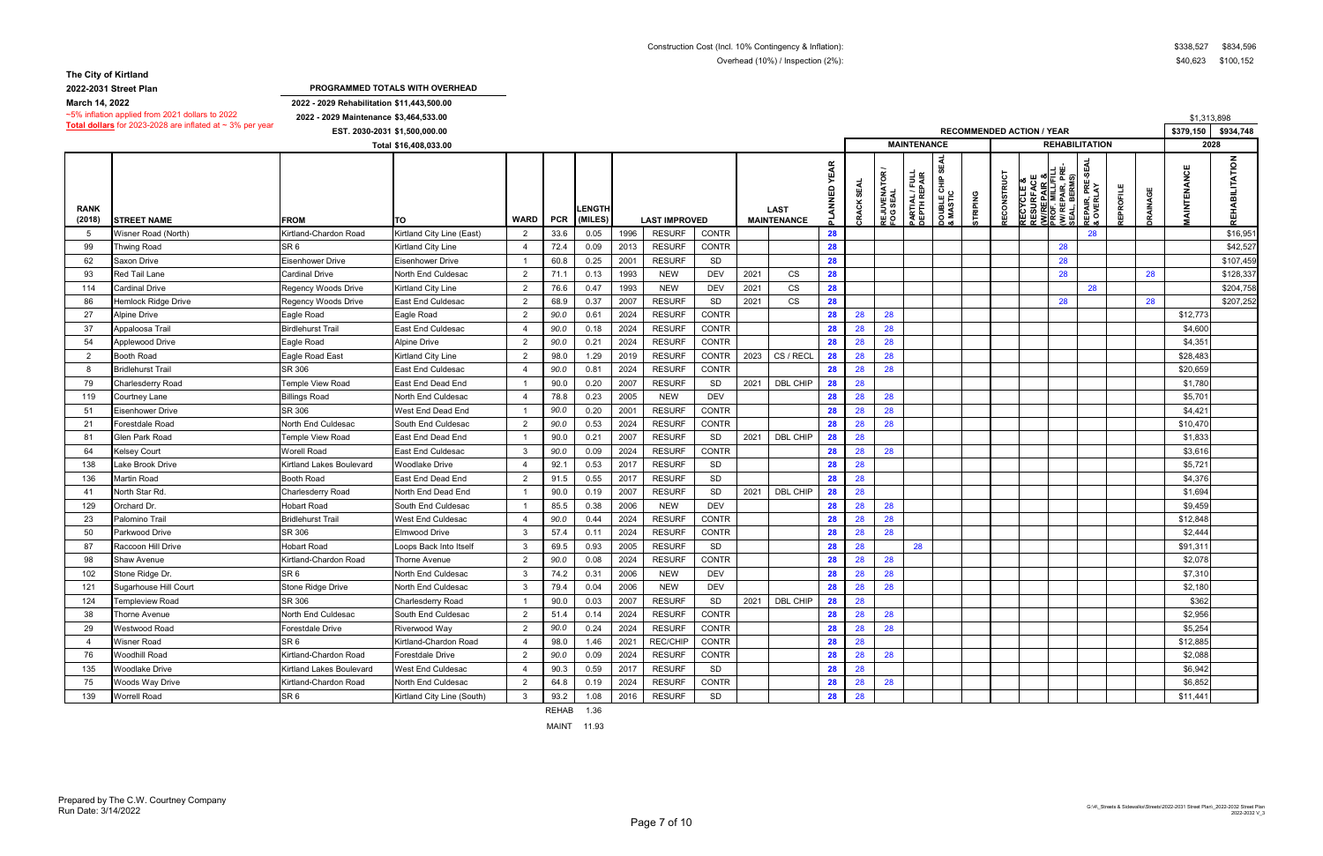**2022-2031 Street Plan**

**2022 - 2029 Rehabilitation \$11,443,500.00**

|                       | $\sim$ 5% inflation applied from 2021 dollars to 2022<br><b>Total dollars</b> for 2023-2028 are inflated at $\sim$ 3% per year | 2022 - 2029 Maintenance \$3,464,533.00 |                            |                |            |                          |      |                      |               |      |                                   |                                |                      |                            |                                |                                 |                                  |            |                                                                               |                                       |                                   |           |                 | \$1,313,898       |                    |
|-----------------------|--------------------------------------------------------------------------------------------------------------------------------|----------------------------------------|----------------------------|----------------|------------|--------------------------|------|----------------------|---------------|------|-----------------------------------|--------------------------------|----------------------|----------------------------|--------------------------------|---------------------------------|----------------------------------|------------|-------------------------------------------------------------------------------|---------------------------------------|-----------------------------------|-----------|-----------------|-------------------|--------------------|
|                       | EST. 2030-2031 \$1,500,000.00                                                                                                  |                                        |                            |                |            |                          |      |                      |               |      |                                   |                                |                      |                            |                                |                                 | <b>RECOMMENDED ACTION / YEAR</b> |            |                                                                               |                                       |                                   | \$379,150 | \$934,748       |                   |                    |
|                       |                                                                                                                                |                                        | Total \$16,408,033.00      |                |            |                          |      |                      |               |      |                                   |                                |                      |                            | <b>MAINTENANCE</b>             |                                 |                                  |            |                                                                               |                                       | <b>REHABILITATION</b>             |           |                 | 2028              |                    |
| <b>RANK</b><br>(2018) | <b>STREET NAME</b>                                                                                                             | <b>FROM</b>                            | ιτο                        | <b>WARD</b>    | <b>PCR</b> | <b>LENGTH</b><br>(MILES) |      | <b>LAST IMPROVED</b> |               |      | <b>LAST</b><br><b>MAINTENANCE</b> | <b>YEAR</b><br><b>Z<br/>KN</b> | <b>SEAL</b><br>CRACK | ဥ<br>REJUVENAT<br>FOG SEAL | PARTIAL / FULL<br>DEPTH REPAIR | ဖာ<br>DOUBLE CHIP 9<br>& MASTIC | <b>TRIPING</b>                   | RECONSTRUC | ш<br><b>RECYCLE &amp;<br/>RESURFACI<br/><u>(W/REPAIR</u><br/>PROF. MILL/F</b> | <u>: ໑</u><br><b>PAIR, I</b><br>BERM: | ၯ<br>ጅ<br>ኛ<br>REPAIR,<br>& OVERL | EPROFILE  | <b>JRAINAGE</b> | <b>AINTENANCE</b> | $\frac{z}{2}$<br>풉 |
| -5                    | Wisner Road (North)                                                                                                            | Kirtland-Chardon Road                  | Kirtland City Line (East)  | $\overline{2}$ | 33.6       | 0.05                     | 1996 | <b>RESURF</b>        | CONTR         |      |                                   | 28                             |                      |                            |                                |                                 |                                  |            |                                                                               |                                       | 28                                |           |                 |                   | \$16,951           |
| 99                    | <b>Thwing Road</b>                                                                                                             | SR <sub>6</sub>                        | <b>Kirtland City Line</b>  |                | 72.4       | 0.09                     | 2013 | <b>RESURF</b>        | <b>CONTR</b>  |      |                                   | 28                             |                      |                            |                                |                                 |                                  |            |                                                                               | 28                                    |                                   |           |                 |                   | \$42,527           |
| 62                    | Saxon Drive                                                                                                                    | <b>Eisenhower Drive</b>                | <b>Eisenhower Drive</b>    |                | 60.8       | 0.25                     | 2001 | <b>RESURF</b>        | SD            |      |                                   | 28                             |                      |                            |                                |                                 |                                  |            |                                                                               | 28                                    |                                   |           |                 |                   | \$107,459          |
| 93                    | Red Tail Lane                                                                                                                  | Cardinal Drive                         | North End Culdesac         | $\overline{2}$ | 71.1       | 0.13                     | 1993 | <b>NEW</b>           | <b>DEV</b>    | 2021 | CS                                | 28                             |                      |                            |                                |                                 |                                  |            |                                                                               | 28                                    |                                   |           | 28              |                   | \$128,337          |
| 114                   | Cardinal Drive                                                                                                                 | Regency Woods Drive                    | <b>Kirtland City Line</b>  | $\overline{2}$ | 76.6       | 0.47                     | 1993 | <b>NEW</b>           | <b>DEV</b>    | 2021 | CS                                | 28                             |                      |                            |                                |                                 |                                  |            |                                                                               |                                       | 28                                |           |                 |                   | \$204,758          |
| 86                    | Hemlock Ridge Drive                                                                                                            | Regency Woods Drive                    | <b>East End Culdesac</b>   | $\overline{2}$ | 68.9       | 0.37                     | 2007 | <b>RESURF</b>        | SD            | 2021 | <b>CS</b>                         | 28                             |                      |                            |                                |                                 |                                  |            |                                                                               | 28                                    |                                   |           | 28              |                   | \$207,252          |
| 27                    | <b>Alpine Drive</b>                                                                                                            | Eagle Road                             | Eagle Road                 | $\mathcal{P}$  | 90.0       | 0.61                     | 2024 | <b>RESURF</b>        | <b>CONTR</b>  |      |                                   | 28                             | 28                   | 28                         |                                |                                 |                                  |            |                                                                               |                                       |                                   |           |                 | \$12,773          |                    |
| 37                    | Appaloosa Trail                                                                                                                | <b>Birdlehurst Trail</b>               | <b>East End Culdesac</b>   |                | 90.0       | 0.18                     | 2024 | <b>RESURF</b>        | <b>CONTR</b>  |      |                                   | 28                             | 28                   | 28                         |                                |                                 |                                  |            |                                                                               |                                       |                                   |           |                 | \$4,600           |                    |
| 54                    | Applewood Drive                                                                                                                | Eagle Road                             | <b>Alpine Drive</b>        | -2             | 90.0       | 0.21                     | 2024 | <b>RESURF</b>        | CONTR         |      |                                   | 28                             | 28                   | 28                         |                                |                                 |                                  |            |                                                                               |                                       |                                   |           |                 | \$4,351           |                    |
| $\overline{2}$        | Booth Road                                                                                                                     | Eagle Road East                        | <b>Kirtland City Line</b>  | $\mathcal{P}$  | 98.0       | 1.29                     | 2019 | <b>RESURF</b>        | CONTR         | 2023 | CS / RECL                         | 28                             | 28                   | 28                         |                                |                                 |                                  |            |                                                                               |                                       |                                   |           |                 | \$28,483          |                    |
| -8                    | <b>Bridlehurst Trail</b>                                                                                                       | SR 306                                 | East End Culdesac          |                | 90.0       | 0.81                     | 2024 | <b>RESURF</b>        | <b>CONTR</b>  |      |                                   | 28                             | 28                   | 28                         |                                |                                 |                                  |            |                                                                               |                                       |                                   |           |                 | \$20,659          |                    |
| 79                    | Charlesderry Road                                                                                                              | Temple View Road                       | East End Dead End          |                | 90.0       | 0.20                     | 2007 | <b>RESURF</b>        | SD            | 2021 | DBL CHIP                          | 28                             | 28                   |                            |                                |                                 |                                  |            |                                                                               |                                       |                                   |           |                 | \$1,780           |                    |
| 119                   | Courtney Lane                                                                                                                  | <b>Billings Road</b>                   | North End Culdesac         |                | 78.8       | 0.23                     | 2005 | <b>NEW</b>           | <b>DEV</b>    |      |                                   | 28                             | 28                   | 28                         |                                |                                 |                                  |            |                                                                               |                                       |                                   |           |                 | \$5,701           |                    |
| 51                    | Eisenhower Drive                                                                                                               | SR 306                                 | West End Dead End          |                | 90.0       | 0.20                     | 2001 | <b>RESURF</b>        | CONTR         |      |                                   | 28                             | 28                   | 28                         |                                |                                 |                                  |            |                                                                               |                                       |                                   |           |                 | \$4,421           |                    |
| 21                    | Forestdale Road                                                                                                                | North End Culdesac                     | South End Culdesac         | $\overline{2}$ | 90.0       | 0.53                     | 2024 | <b>RESURF</b>        | <b>CONTR</b>  |      |                                   | 28                             | 28                   | 28                         |                                |                                 |                                  |            |                                                                               |                                       |                                   |           |                 | \$10,470          |                    |
| 81                    | Glen Park Road                                                                                                                 | Temple View Road                       | East End Dead End          |                | 90.0       | 0.21                     | 2007 | <b>RESURF</b>        | SD            | 2021 | DBL CHIP                          | 28                             | 28                   |                            |                                |                                 |                                  |            |                                                                               |                                       |                                   |           |                 | \$1,833           |                    |
| 64                    | Kelsey Court                                                                                                                   | Worell Road                            | <b>East End Culdesac</b>   |                | 90.0       | 0.09                     | 2024 | <b>RESURF</b>        | CONTR         |      |                                   | 28                             | 28                   | 28                         |                                |                                 |                                  |            |                                                                               |                                       |                                   |           |                 | \$3,616           |                    |
| 138                   | ake Brook Drive                                                                                                                | Kirtland Lakes Boulevard               | <b>Woodlake Drive</b>      |                | 92.1       | 0.53                     | 2017 | <b>RESURF</b>        | SD            |      |                                   | 28                             | 28                   |                            |                                |                                 |                                  |            |                                                                               |                                       |                                   |           |                 | \$5,721           |                    |
| 136                   | Martin Road                                                                                                                    | Booth Road                             | East End Dead End          | -2             | 91.5       | 0.55                     | 2017 | <b>RESURF</b>        | SD            |      |                                   | 28                             | 28                   |                            |                                |                                 |                                  |            |                                                                               |                                       |                                   |           |                 | \$4,376           |                    |
| 41                    | North Star Rd.                                                                                                                 | Charlesderry Road                      | North End Dead End         |                | 90.0       | 0.19                     | 2007 | <b>RESURF</b>        | <b>SD</b>     | 2021 | DBL CHIP                          | 28                             | 28                   |                            |                                |                                 |                                  |            |                                                                               |                                       |                                   |           |                 | \$1,694           |                    |
| 129                   | Orchard Dr.                                                                                                                    | <b>Hobart Road</b>                     | South End Culdesac         |                | 85.5       | 0.38                     | 2006 | <b>NEW</b>           | <b>DEV</b>    |      |                                   | 28                             | 28                   | 28                         |                                |                                 |                                  |            |                                                                               |                                       |                                   |           |                 | \$9,459           |                    |
| 23                    | Palomino Trail                                                                                                                 | <b>Bridlehurst Trail</b>               | <b>West End Culdesac</b>   |                | 90.0       | 0.44                     | 2024 | <b>RESURF</b>        | <b>CONTR</b>  |      |                                   | 28                             | 28                   | 28                         |                                |                                 |                                  |            |                                                                               |                                       |                                   |           |                 | \$12,848          |                    |
| 50                    | Parkwood Drive                                                                                                                 | SR 306                                 | <b>Elmwood Drive</b>       | -3             | 57.4       | 0.11                     | 2024 | <b>RESURF</b>        | <b>CONTR</b>  |      |                                   | 28                             | 28                   | 28                         |                                |                                 |                                  |            |                                                                               |                                       |                                   |           |                 | \$2,444           |                    |
| 87                    | Raccoon Hill Drive                                                                                                             | Hobart Road                            | Loops Back Into Itself     | -3             | 69.5       | 0.93                     | 2005 | <b>RESURF</b>        | SD            |      |                                   | 28                             | 28                   |                            | 28                             |                                 |                                  |            |                                                                               |                                       |                                   |           |                 | \$91,311          |                    |
| 98                    | <b>Shaw Avenue</b>                                                                                                             | Kirtland-Chardon Road                  | <b>Thorne Avenue</b>       | $\overline{2}$ | 90.0       | 0.08                     | 2024 | <b>RESURF</b>        | CONTR         |      |                                   | 28                             | 28                   | 28                         |                                |                                 |                                  |            |                                                                               |                                       |                                   |           |                 | \$2,078           |                    |
| 102                   | Stone Ridge Dr.                                                                                                                | SR <sub>6</sub>                        | North End Culdesac         | -3             | 74.2       | 0.31                     | 2006 | <b>NEW</b>           | <b>DEV</b>    |      |                                   | 28                             | 28                   | 28                         |                                |                                 |                                  |            |                                                                               |                                       |                                   |           |                 | \$7,310           |                    |
| 121                   | Sugarhouse Hill Court                                                                                                          | Stone Ridge Drive                      | North End Culdesac         | -3             | 79.4       | 0.04                     | 2006 | <b>NEW</b>           | <b>DEV</b>    |      |                                   | 28                             | 28                   | 28                         |                                |                                 |                                  |            |                                                                               |                                       |                                   |           |                 | \$2,180           |                    |
| 124                   | Templeview Road                                                                                                                | SR 306                                 | Charlesderry Road          |                | 90.0       | 0.03                     | 2007 | <b>RESURF</b>        | $\mathsf{SD}$ |      | 2021   DBL CHIP                   | 28                             | -28                  |                            |                                |                                 |                                  |            |                                                                               |                                       |                                   |           |                 | \$362             |                    |
| 38                    | Thorne Avenue                                                                                                                  | North End Culdesac                     | South End Culdesac         | $\overline{2}$ | 51.4       | 0.14                     | 2024 | <b>RESURF</b>        | CONTR         |      |                                   | 28                             | 28                   | 28                         |                                |                                 |                                  |            |                                                                               |                                       |                                   |           |                 | \$2,956           |                    |
| 29                    | Westwood Road                                                                                                                  | Forestdale Drive                       | Riverwood Way              | 2              | 90.0       | 0.24                     | 2024 | <b>RESURF</b>        | CONTR         |      |                                   | 28                             | 28                   | 28                         |                                |                                 |                                  |            |                                                                               |                                       |                                   |           |                 | \$5,254           |                    |
| -4                    | Wisner Road                                                                                                                    | SR <sub>6</sub>                        | Kirtland-Chardon Road      |                | 98.0       | 1.46                     | 2021 | <b>REC/CHIP</b>      | CONTR         |      |                                   | 28                             | 28                   |                            |                                |                                 |                                  |            |                                                                               |                                       |                                   |           |                 | \$12,885          |                    |
| 76                    | <b>Woodhill Road</b>                                                                                                           | Kirtland-Chardon Road                  | Forestdale Drive           | $\overline{2}$ | 90.0       | 0.09                     | 2024 | <b>RESURF</b>        | CONTR         |      |                                   | 28                             | 28                   | 28                         |                                |                                 |                                  |            |                                                                               |                                       |                                   |           |                 | \$2,088           |                    |
| 135                   | Woodlake Drive                                                                                                                 | Kirtland Lakes Boulevard               | West End Culdesac          |                | 90.3       | 0.59                     | 2017 | <b>RESURF</b>        | SD            |      |                                   | 28                             | 28                   |                            |                                |                                 |                                  |            |                                                                               |                                       |                                   |           |                 | \$6,942           |                    |
| 75                    | Woods Way Drive                                                                                                                | Kirtland-Chardon Road                  | North End Culdesac         | $\overline{2}$ | 64.8       | 0.19                     | 2024 | <b>RESURF</b>        | CONTR         |      |                                   | 28                             | 28                   | 28                         |                                |                                 |                                  |            |                                                                               |                                       |                                   |           |                 | \$6,852           |                    |
| 139                   | <b>Worrell Road</b>                                                                                                            | SR <sub>6</sub>                        | Kirtland City Line (South) | 3              | 93.2       | 1.08                     | 2016 | <b>RESURF</b>        | SD            |      |                                   | 28                             | 28                   |                            |                                |                                 |                                  |            |                                                                               |                                       |                                   |           |                 | \$11,441          |                    |
|                       |                                                                                                                                |                                        |                            |                | REHAB 1.36 |                          |      |                      |               |      |                                   |                                |                      |                            |                                |                                 |                                  |            |                                                                               |                                       |                                   |           |                 |                   |                    |

MAINT 11.93

**PROGRAMMED TOTALS WITH OVERHEAD**

**March 14, 2022**

| \$338,527 | \$834,596 |
|-----------|-----------|
| \$40,623  | \$100,152 |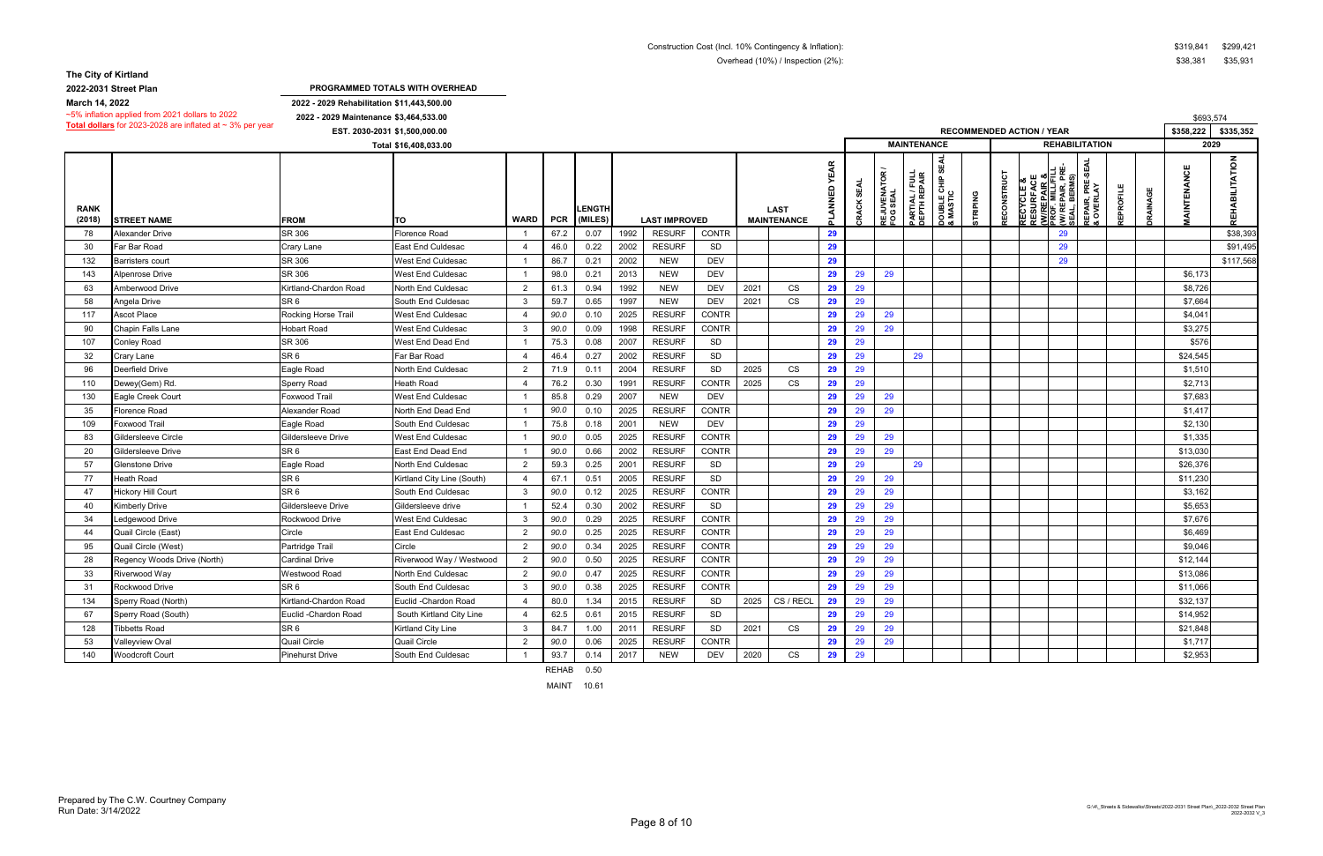**2022-2031 Street Plan**

**2022 - 2029 Maintenance \$3,464,533.00**

**2022 - 2029 Rehabilitation \$11,443,500.00 PROGRAMMED TOTALS WITH OVERHEAD**

|                       | ~5% inflation applied from 2021 dollars to 2022                | 2022 - 2029 Maintenance \$3,464,533.00 |                            |                |            |                          |      |                      |              |      |                                   |                             |                             |                                 |                                |                                        |                                  |                    |    |                                                                                                                                           |                  |         | \$693,574         |                |
|-----------------------|----------------------------------------------------------------|----------------------------------------|----------------------------|----------------|------------|--------------------------|------|----------------------|--------------|------|-----------------------------------|-----------------------------|-----------------------------|---------------------------------|--------------------------------|----------------------------------------|----------------------------------|--------------------|----|-------------------------------------------------------------------------------------------------------------------------------------------|------------------|---------|-------------------|----------------|
|                       | Total dollars for 2023-2028 are inflated at $\sim$ 3% per year | EST. 2030-2031 \$1,500,000.00          |                            |                |            |                          |      |                      |              |      |                                   |                             |                             |                                 |                                |                                        | <b>RECOMMENDED ACTION / YEAR</b> |                    |    |                                                                                                                                           |                  |         | \$358,222         | \$335,352      |
|                       |                                                                |                                        | Total \$16,408,033.00      |                |            |                          |      |                      |              |      |                                   |                             |                             |                                 | <b>MAINTENANCE</b>             |                                        |                                  |                    |    | <b>REHABILITATION</b>                                                                                                                     |                  |         | 2029              |                |
| <b>RANK</b><br>(2018) | <b>STREET NAME</b>                                             | <b>FROM</b>                            | TO                         | <b>WARD</b>    | <b>PCR</b> | <b>LENGTH</b><br>(MILES) |      | <b>LAST IMPROVED</b> |              |      | <b>LAST</b><br><b>MAINTENANCE</b> | <b>YEAR</b><br><b>NNV1c</b> | <b>SEAL</b><br><b>CRACK</b> | <b>REJUVENATOR<br/>FOG SEAL</b> | PARTIAL / FULL<br>DEPTH REPAIR | <b>SEAL</b><br>DOUBLE CHIP<br>& MASTIC | <b>STRIPING</b>                  | <b>RECONSTRUCT</b> | ш∞ | REPAIR, PRE-SEAL<br>& OVERLAY<br><b>RECYCLE &amp;<br/>RESURFACI<br/><u>(WIREPAIR</u><br/>PROF. MILLIF<br/>SEAL, BERMS<br/>SEAL, BERMS</b> | <b>REPROFILE</b> | RAINAGE | <b>AINTENANCE</b> | REHABILITATION |
| 78                    | Alexander Drive                                                | SR 306                                 | Florence Road              |                | 67.2       | 0.07                     | 1992 | <b>RESURF</b>        | <b>CONTR</b> |      |                                   | 29                          |                             |                                 |                                |                                        |                                  |                    |    | 29                                                                                                                                        |                  |         |                   | \$38,393       |
| 30                    | Far Bar Road                                                   | Crary Lane                             | <b>East End Culdesac</b>   |                | 46.0       | 0.22                     | 2002 | <b>RESURF</b>        | SD           |      |                                   | 29                          |                             |                                 |                                |                                        |                                  |                    |    | 29                                                                                                                                        |                  |         |                   | \$91,495       |
| 132                   | Barristers court                                               | SR 306                                 | West End Culdesac          |                | 86.7       | 0.21                     | 2002 | <b>NEW</b>           | DEV          |      |                                   | 29                          |                             |                                 |                                |                                        |                                  |                    |    | 29                                                                                                                                        |                  |         |                   | \$117,568      |
| 143                   | Alpenrose Drive                                                | SR 306                                 | <b>West End Culdesac</b>   |                | 98.0       | 0.21                     | 2013 | <b>NEW</b>           | <b>DEV</b>   |      |                                   | 29                          | 29                          | 29                              |                                |                                        |                                  |                    |    |                                                                                                                                           |                  |         | \$6,173           |                |
| 63                    | Amberwood Drive                                                | Kirtland-Chardon Road                  | North End Culdesac         | $\overline{2}$ | 61.3       | 0.94                     | 1992 | <b>NEW</b>           | <b>DEV</b>   | 2021 | CS                                | 29                          | 29                          |                                 |                                |                                        |                                  |                    |    |                                                                                                                                           |                  |         | \$8,726           |                |
| 58                    | Angela Drive                                                   | SR <sub>6</sub>                        | South End Culdesac         | -3             | 59.7       | 0.65                     | 1997 | <b>NEW</b>           | <b>DEV</b>   | 2021 | <b>CS</b>                         | 29                          | 29                          |                                 |                                |                                        |                                  |                    |    |                                                                                                                                           |                  |         | \$7,664           |                |
| 117                   | Ascot Place                                                    | Rocking Horse Trail                    | West End Culdesac          | 4              | 90.0       | 0.10                     | 2025 | <b>RESURF</b>        | <b>CONTR</b> |      |                                   | 29                          | 29                          | 29                              |                                |                                        |                                  |                    |    |                                                                                                                                           |                  |         | \$4,041           |                |
| 90                    | Chapin Falls Lane                                              | <b>Hobart Road</b>                     | <b>West End Culdesac</b>   | -3             | 90.0       | 0.09                     | 1998 | <b>RESURF</b>        | <b>CONTR</b> |      |                                   | 29                          | 29                          | 29                              |                                |                                        |                                  |                    |    |                                                                                                                                           |                  |         | \$3,275           |                |
| 107                   | Conley Road                                                    | SR 306                                 | West End Dead End          |                | 75.3       | 0.08                     | 2007 | <b>RESURF</b>        | SD           |      |                                   | 29                          | 29                          |                                 |                                |                                        |                                  |                    |    |                                                                                                                                           |                  |         | \$576             |                |
| 32                    | Crary Lane                                                     | SR <sub>6</sub>                        | Far Bar Road               | -4             | 46.4       | 0.27                     | 2002 | <b>RESURF</b>        | SD           |      |                                   | 29                          | 29                          |                                 | 29                             |                                        |                                  |                    |    |                                                                                                                                           |                  |         | \$24,545          |                |
| 96                    | Deerfield Drive                                                | Eagle Road                             | North End Culdesac         | $\mathcal{P}$  | 71.9       | 0.11                     | 2004 | <b>RESURF</b>        | SD           | 2025 | CS                                | 29                          | 29                          |                                 |                                |                                        |                                  |                    |    |                                                                                                                                           |                  |         | \$1,510           |                |
| 110                   | Dewey(Gem) Rd.                                                 | <b>Sperry Road</b>                     | <b>Heath Road</b>          | $\overline{4}$ | 76.2       | 0.30                     | 1991 | <b>RESURF</b>        | <b>CONTR</b> | 2025 | <b>CS</b>                         | 29                          | 29                          |                                 |                                |                                        |                                  |                    |    |                                                                                                                                           |                  |         | \$2,713           |                |
| 130                   | Eagle Creek Court                                              | Foxwood Trail                          | <b>West End Culdesac</b>   |                | 85.8       | 0.29                     | 2007 | <b>NEW</b>           | <b>DEV</b>   |      |                                   | 29                          | 29                          | 29                              |                                |                                        |                                  |                    |    |                                                                                                                                           |                  |         | \$7,683           |                |
| 35                    | Florence Road                                                  | Alexander Road                         | North End Dead End         |                | 90.0       | 0.10                     | 2025 | <b>RESURF</b>        | <b>CONTR</b> |      |                                   | 29                          | 29                          | 29                              |                                |                                        |                                  |                    |    |                                                                                                                                           |                  |         | \$1,417           |                |
| 109                   | Foxwood Trail                                                  | Eagle Road                             | South End Culdesac         |                | 75.8       | 0.18                     | 2001 | <b>NEW</b>           | <b>DEV</b>   |      |                                   | 29                          | 29                          |                                 |                                |                                        |                                  |                    |    |                                                                                                                                           |                  |         | \$2,130           |                |
| 83                    | Gildersleeve Circle                                            | Gildersleeve Drive                     | <b>West End Culdesac</b>   |                | 90.0       | 0.05                     | 2025 | <b>RESURF</b>        | <b>CONTR</b> |      |                                   | 29                          | 29                          | 29                              |                                |                                        |                                  |                    |    |                                                                                                                                           |                  |         | \$1,335           |                |
| 20                    | Gildersleeve Drive                                             | SR <sub>6</sub>                        | East End Dead End          |                | 90.0       | 0.66                     | 2002 | <b>RESURF</b>        | <b>CONTR</b> |      |                                   | 29                          | 29                          | 29                              |                                |                                        |                                  |                    |    |                                                                                                                                           |                  |         | \$13,030          |                |
| 57                    | Glenstone Drive                                                | Eagle Road                             | North End Culdesac         | $\overline{2}$ | 59.3       | 0.25                     | 2001 | <b>RESURF</b>        | SD           |      |                                   | 29                          | 29                          |                                 | 29                             |                                        |                                  |                    |    |                                                                                                                                           |                  |         | \$26,376          |                |
| 77                    | Heath Road                                                     | SR <sub>6</sub>                        | Kirtland City Line (South) | 4              | 67.1       | 0.51                     | 2005 | <b>RESURF</b>        | SD           |      |                                   | 29                          | 29                          | 29                              |                                |                                        |                                  |                    |    |                                                                                                                                           |                  |         | \$11,230          |                |
| 47                    | <b>Hickory Hill Court</b>                                      | SR <sub>6</sub>                        | South End Culdesac         | -3             | 90.0       | 0.12                     | 2025 | <b>RESURF</b>        | <b>CONTR</b> |      |                                   | 29                          | 29                          | 29                              |                                |                                        |                                  |                    |    |                                                                                                                                           |                  |         | \$3,162           |                |
| 40                    | Kimberly Drive                                                 | Gildersleeve Drive                     | Gildersleeve drive         |                | 52.4       | 0.30                     | 2002 | <b>RESURF</b>        | SD           |      |                                   | 29                          | 29                          | 29                              |                                |                                        |                                  |                    |    |                                                                                                                                           |                  |         | \$5,653           |                |
| 34                    | edgewood Drive                                                 | Rockwood Drive                         | <b>West End Culdesac</b>   | -3             | 90.0       | 0.29                     | 2025 | <b>RESURF</b>        | <b>CONTR</b> |      |                                   | 29                          | 29                          | 29                              |                                |                                        |                                  |                    |    |                                                                                                                                           |                  |         | \$7,676           |                |
| 44                    | Quail Circle (East)                                            | Circle                                 | <b>East End Culdesac</b>   | $\overline{2}$ | 90.0       | 0.25                     | 2025 | <b>RESURF</b>        | CONTR        |      |                                   | 29                          | 29                          | 29                              |                                |                                        |                                  |                    |    |                                                                                                                                           |                  |         | \$6,469           |                |
| 95                    | Quail Circle (West)                                            | Partridge Trail                        | Circle                     | $\mathcal{P}$  | 90.0       | 0.34                     | 2025 | <b>RESURF</b>        | <b>CONTR</b> |      |                                   | 29                          | 29                          | 29                              |                                |                                        |                                  |                    |    |                                                                                                                                           |                  |         | \$9,046           |                |
| 28                    | Regency Woods Drive (North)                                    | <b>Cardinal Drive</b>                  | Riverwood Way / Westwood   | $\overline{2}$ | 90.0       | 0.50                     | 2025 | <b>RESURF</b>        | <b>CONTR</b> |      |                                   | 29                          | 29                          | 29                              |                                |                                        |                                  |                    |    |                                                                                                                                           |                  |         | \$12,144          |                |
| 33                    | Riverwood Way                                                  | Westwood Road                          | North End Culdesac         | $\overline{2}$ | 90.0       | 0.47                     | 2025 | <b>RESURF</b>        | CONTR        |      |                                   | 29                          | 29                          | 29                              |                                |                                        |                                  |                    |    |                                                                                                                                           |                  |         | \$13,086          |                |
| 31                    | Rockwood Drive                                                 | SR <sub>6</sub>                        | South End Culdesac         | -3             | 90.0       | 0.38                     | 2025 | <b>RESURF</b>        | <b>CONTR</b> |      |                                   | 29                          | 29                          | 29                              |                                |                                        |                                  |                    |    |                                                                                                                                           |                  |         | \$11,066          |                |
| 134                   | Sperry Road (North)                                            | Kirtland-Chardon Road                  | Euclid - Chardon Road      | 4              | 80.0       | 1.34                     | 2015 | <b>RESURF</b>        | SD           | 2025 | CS / RECL                         | 29                          | 29                          | 29                              |                                |                                        |                                  |                    |    |                                                                                                                                           |                  |         | \$32,137          |                |
| 67                    | Sperry Road (South)                                            | Euclid - Chardon Road                  | South Kirtland City Line   |                | 62.5       | 0.61                     | 2015 | <b>RESURF</b>        | SD           |      |                                   | 29                          | 29                          | 29                              |                                |                                        |                                  |                    |    |                                                                                                                                           |                  |         | \$14,952          |                |
| 128                   | <b>Tibbetts Road</b>                                           | SR <sub>6</sub>                        | Kirtland City Line         | -3             | 84.7       | 1.00                     | 2011 | <b>RESURF</b>        | SD           | 2021 | CS                                | 29                          | 29                          | 29                              |                                |                                        |                                  |                    |    |                                                                                                                                           |                  |         | \$21,848          |                |
| 53                    | Valleyview Oval                                                | <b>Quail Circle</b>                    | <b>Quail Circle</b>        | $\overline{2}$ | 90.0       | 0.06                     | 2025 | <b>RESURF</b>        | <b>CONTR</b> |      |                                   | 29                          | 29                          | 29                              |                                |                                        |                                  |                    |    |                                                                                                                                           |                  |         | \$1,717           |                |
| 140                   | <b>Woodcroft Court</b>                                         | <b>Pinehurst Drive</b>                 | South End Culdesac         |                | 93.7       | 0.14                     | 2017 | <b>NEW</b>           | <b>DEV</b>   | 2020 | CS                                | 29                          | 29                          |                                 |                                |                                        |                                  |                    |    |                                                                                                                                           |                  |         | \$2,953           |                |

REHAB 0.50

MAINT 10.61

**March 14, 2022**

| \$319,841 | \$299,421 |
|-----------|-----------|
| \$38,381  | \$35,931  |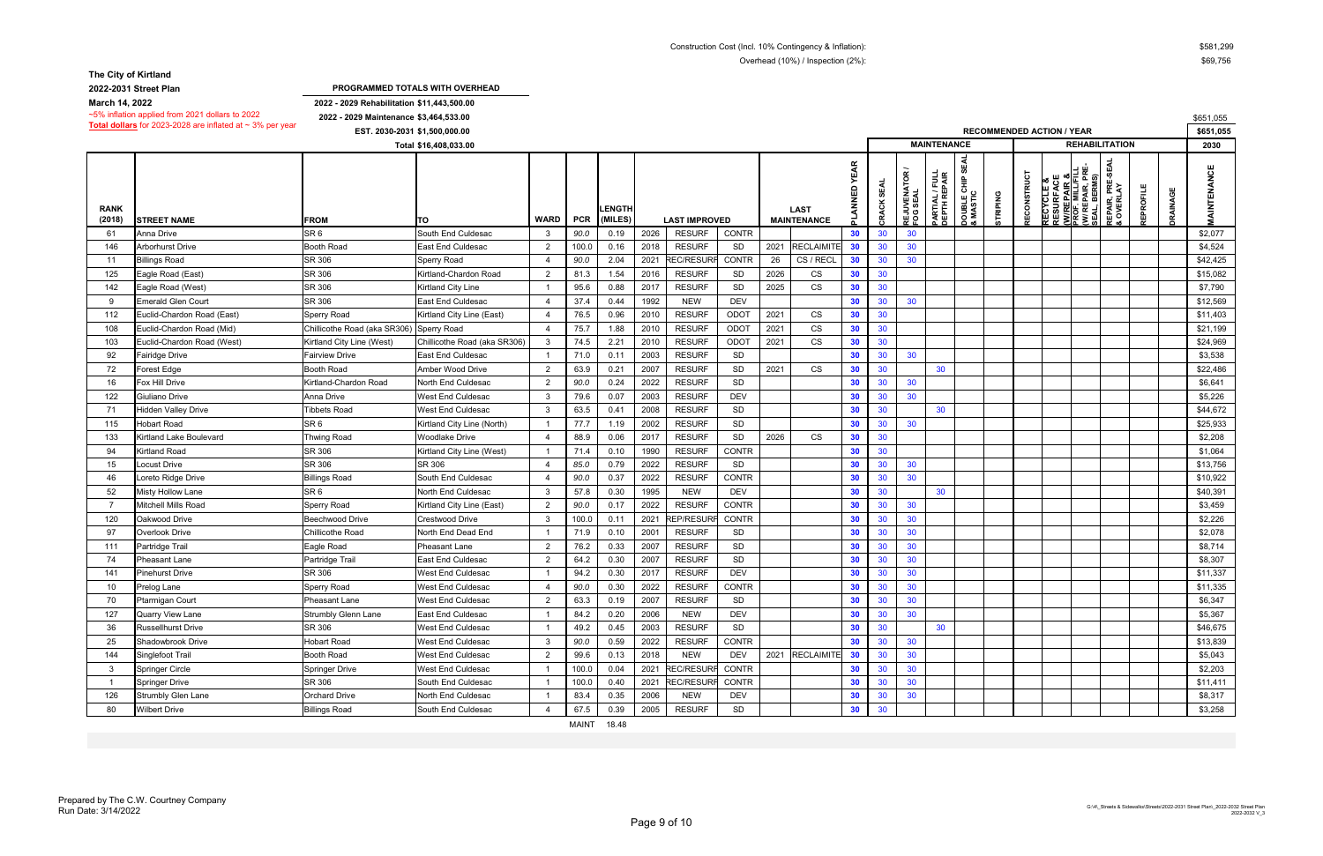**2022-2031 Street Plan**

**2022 - 2029 Rehabilitation \$11,443,500.00 2022 - 2029 Maintenance \$3,464,533.00** \$651,055 **PROGRAMMED TOTALS WITH OVERHEAD**

| Total dollars for 2023-2028 are inflated at $\sim$ 3% per year<br>EST. 2030-2031 \$1,500,000.00<br><b>RECOMMENDED ACTION / YEAR</b> |                            |                              |                              |                          |            |                          |      |                      |               |      |                                   |                 |                 |                                 | vuu 1,000<br>\$651,055         |                                                      |                 |             |                                                                                       |                                                    |                                 |          |                 |                   |
|-------------------------------------------------------------------------------------------------------------------------------------|----------------------------|------------------------------|------------------------------|--------------------------|------------|--------------------------|------|----------------------|---------------|------|-----------------------------------|-----------------|-----------------|---------------------------------|--------------------------------|------------------------------------------------------|-----------------|-------------|---------------------------------------------------------------------------------------|----------------------------------------------------|---------------------------------|----------|-----------------|-------------------|
|                                                                                                                                     |                            |                              |                              |                          |            |                          |      |                      |               |      | <b>MAINTENANCE</b>                |                 |                 | <b>REHABILITATION</b>           |                                |                                                      |                 |             |                                                                                       | 2030                                               |                                 |          |                 |                   |
| <b>RANK</b><br>(2018)                                                                                                               | <b>STREET NAME</b>         | <b>FROM</b>                  | ιτο                          | <b>WARD</b>              | <b>PCR</b> | <b>LENGTH</b><br>(MILES) |      | <b>LAST IMPROVED</b> |               |      | <b>LAST</b><br><b>MAINTENANCE</b> | <b>YEAR</b>     | <b>CRACK</b>    | <b>REJUVENATOR<br/>FOG SEAL</b> | PARTIAL / FULL<br>DEPTH REPAIR | <b>SEAL</b><br><b>DOUBLE CHIP :<br/>&amp; MASTIC</b> | <b>STRIPING</b> | RECONSTRUCT | ш<br><b>RECYCLE &amp;<br/>RESURFACE<br/><u>(W/REPAIR &amp;</u><br/>PROF. MILL/FIL</b> | REPAIR, PRE-<br>\L, BERMS)<br><b>WIRE</b><br>SEAL, | PRE-SEA<br>EPAIR,<br>OVERL<br>岛 | EPROFILE | <b>DRAINAGE</b> | <b>AINTENANCE</b> |
| -61                                                                                                                                 | Anna Drive                 | SR <sub>6</sub>              | South End Culdesac           | 3                        | 90.0       | 0.19                     | 2026 | <b>RESURF</b>        | <b>CONTR</b>  |      |                                   | 30 <sub>o</sub> | 30              | 30 <sup>°</sup>                 |                                |                                                      |                 |             |                                                                                       |                                                    |                                 |          |                 | \$2,077           |
| 146                                                                                                                                 | Arborhurst Drive           | <b>Booth Road</b>            | East End Culdesac            | $\overline{2}$           | 100.0      | 0.16                     | 2018 | <b>RESURF</b>        | SD            |      | 2021 RECLAIMITE                   | 30 <sub>o</sub> | 30              | 30                              |                                |                                                      |                 |             |                                                                                       |                                                    |                                 |          |                 | \$4,524           |
| -11                                                                                                                                 | <b>Billings Road</b>       | SR 306                       | Sperry Road                  | $\boldsymbol{\varDelta}$ | 90.0       | 2.04                     | 2021 | <b>REC/RESURF</b>    | <b>CONTR</b>  | 26   | CS / RECL                         | 30 <sup>°</sup> | 30              | 30                              |                                |                                                      |                 |             |                                                                                       |                                                    |                                 |          |                 | \$42,425          |
| 125                                                                                                                                 | Eagle Road (East)          | SR 306                       | Kirtland-Chardon Road        | $\overline{2}$           | 81.3       | 1.54                     | 2016 | <b>RESURF</b>        | SD            | 2026 | CS                                | 30              | 30              |                                 |                                |                                                      |                 |             |                                                                                       |                                                    |                                 |          |                 | \$15,082          |
| 142                                                                                                                                 | Eagle Road (West)          | SR 306                       | Kirtland City Line           |                          | 95.6       | 0.88                     | 2017 | <b>RESURF</b>        | SD            | 2025 | CS                                | 30              | 30              |                                 |                                |                                                      |                 |             |                                                                                       |                                                    |                                 |          |                 | \$7,790           |
| -9                                                                                                                                  | <b>Emerald Glen Court</b>  | SR 306                       | <b>East End Culdesac</b>     |                          | 37.4       | 0.44                     | 1992 | <b>NEW</b>           | <b>DEV</b>    |      |                                   | 30              | 30              | 30                              |                                |                                                      |                 |             |                                                                                       |                                                    |                                 |          |                 | \$12,569          |
| 112                                                                                                                                 | Euclid-Chardon Road (East) | <b>Sperry Road</b>           | Kirtland City Line (East)    |                          | 76.5       | 0.96                     | 2010 | <b>RESURF</b>        | ODOT          | 2021 | CS                                | 30              | 30              |                                 |                                |                                                      |                 |             |                                                                                       |                                                    |                                 |          |                 | \$11,403          |
| 108                                                                                                                                 | Euclid-Chardon Road (Mid)  | Chillicothe Road (aka SR306) | Sperry Road                  | $\overline{4}$           | 75.7       | 1.88                     | 2010 | <b>RESURF</b>        | ODOT          | 2021 | CS                                | 30              | 30              |                                 |                                |                                                      |                 |             |                                                                                       |                                                    |                                 |          |                 | \$21,199          |
| 103                                                                                                                                 | Euclid-Chardon Road (West) | Kirtland City Line (West)    | Chillicothe Road (aka SR306) | $\mathbf{3}$             | 74.5       | 2.21                     | 2010 | <b>RESURF</b>        | ODOT          | 2021 | CS                                | 30              | 30              |                                 |                                |                                                      |                 |             |                                                                                       |                                                    |                                 |          |                 | \$24,969          |
| 92                                                                                                                                  | Fairidge Drive             | <b>Fairview Drive</b>        | <b>East End Culdesac</b>     |                          | 71.0       | 0.11                     | 2003 | <b>RESURF</b>        | SD            |      |                                   | 30              | 30              | 30 <sup>°</sup>                 |                                |                                                      |                 |             |                                                                                       |                                                    |                                 |          |                 | \$3,538           |
| 72                                                                                                                                  | Forest Edge                | <b>Booth Road</b>            | Amber Wood Drive             | $\overline{2}$           | 63.9       | 0.21                     | 2007 | <b>RESURF</b>        | SD            | 2021 | CS                                | 30              | 30              |                                 | 30                             |                                                      |                 |             |                                                                                       |                                                    |                                 |          |                 | \$22,486          |
| 16                                                                                                                                  | Fox Hill Drive             | Kirtland-Chardon Road        | North End Culdesac           | $\overline{2}$           | 90.0       | 0.24                     | 2022 | <b>RESURF</b>        | SD            |      |                                   | 30              | 30              | 30                              |                                |                                                      |                 |             |                                                                                       |                                                    |                                 |          |                 | \$6,641           |
| 122                                                                                                                                 | Giuliano Drive             | Anna Drive                   | West End Culdesac            | 3                        | 79.6       | 0.07                     | 2003 | <b>RESURF</b>        | <b>DEV</b>    |      |                                   | 30              | 30              | 30                              |                                |                                                      |                 |             |                                                                                       |                                                    |                                 |          |                 | \$5,226           |
| -71                                                                                                                                 | Hidden Valley Drive        | <b>Tibbets Road</b>          | West End Culdesac            | $\mathbf{3}$             | 63.5       | 0.41                     | 2008 | <b>RESURF</b>        | SD            |      |                                   | 30              | 30              |                                 | 30                             |                                                      |                 |             |                                                                                       |                                                    |                                 |          |                 | \$44,672          |
| 115                                                                                                                                 | Hobart Road                | SR <sub>6</sub>              | Kirtland City Line (North)   |                          | 77.7       | 1.19                     | 2002 | <b>RESURF</b>        | SD            |      |                                   | 30              | 30              | 30                              |                                |                                                      |                 |             |                                                                                       |                                                    |                                 |          |                 | \$25,933          |
| 133                                                                                                                                 | Kirtland Lake Boulevard    | <b>Thwing Road</b>           | Woodlake Drive               |                          | 88.9       | 0.06                     | 2017 | <b>RESURF</b>        | SD            | 2026 | CS                                | 30              | 30              |                                 |                                |                                                      |                 |             |                                                                                       |                                                    |                                 |          |                 | \$2,208           |
| 94                                                                                                                                  | Kirtland Road              | SR 306                       | Kirtland City Line (West)    |                          | 71.4       | 0.10                     | 1990 | <b>RESURF</b>        | <b>CONTR</b>  |      |                                   | 30              | 30 <sup>°</sup> |                                 |                                |                                                      |                 |             |                                                                                       |                                                    |                                 |          |                 | \$1,064           |
| 15                                                                                                                                  | Locust Drive               | SR 306                       | SR 306                       |                          | 85.0       | 0.79                     | 2022 | <b>RESURF</b>        | SD            |      |                                   | 30              | 30              | 30                              |                                |                                                      |                 |             |                                                                                       |                                                    |                                 |          |                 | \$13,756          |
| 46                                                                                                                                  | oreto Ridge Drive          | <b>Billings Road</b>         | South End Culdesac           |                          | 90.0       | 0.37                     | 2022 | <b>RESURF</b>        | <b>CONTR</b>  |      |                                   | 30              | 30              | 30                              |                                |                                                      |                 |             |                                                                                       |                                                    |                                 |          |                 | \$10,922          |
| 52                                                                                                                                  | Misty Hollow Lane          | SR <sub>6</sub>              | North End Culdesac           | 3                        | 57.8       | 0.30                     | 1995 | <b>NEW</b>           | <b>DEV</b>    |      |                                   | 30              | 30              |                                 | 30 <sup>°</sup>                |                                                      |                 |             |                                                                                       |                                                    |                                 |          |                 | \$40,391          |
| -7                                                                                                                                  | Mitchell Mills Road        | Sperry Road                  | Kirtland City Line (East)    | $\overline{2}$           | 90.0       | 0.17                     | 2022 | <b>RESURF</b>        | <b>CONTR</b>  |      |                                   | 30              | 30              | 30                              |                                |                                                      |                 |             |                                                                                       |                                                    |                                 |          |                 | \$3,459           |
| 120                                                                                                                                 | Oakwood Drive              | <b>Beechwood Drive</b>       | Crestwood Drive              | 3                        | 100.0      | 0.11                     | 2021 | REP/RESURI           | <b>CONTR</b>  |      |                                   | 30              | 30              | 30 <sup>°</sup>                 |                                |                                                      |                 |             |                                                                                       |                                                    |                                 |          |                 | \$2,226           |
| 97                                                                                                                                  | Overlook Drive             | Chillicothe Road             | North End Dead End           |                          | 71.9       | 0.10                     | 2001 | <b>RESURF</b>        | SD            |      |                                   | 30              | 30              | 30                              |                                |                                                      |                 |             |                                                                                       |                                                    |                                 |          |                 | \$2,078           |
| 111                                                                                                                                 | Partridge Trail            | Eagle Road                   | Pheasant Lane                | $\overline{2}$           | 76.2       | 0.33                     | 2007 | <b>RESURF</b>        | SD            |      |                                   | 30              | 30              | 30                              |                                |                                                      |                 |             |                                                                                       |                                                    |                                 |          |                 | \$8,714           |
| -74                                                                                                                                 | <b>Pheasant Lane</b>       | Partridge Trail              | <b>East End Culdesac</b>     | $\overline{2}$           | 64.2       | 0.30                     | 2007 | <b>RESURF</b>        | SD            |      |                                   | 30              | 30              | 30                              |                                |                                                      |                 |             |                                                                                       |                                                    |                                 |          |                 | \$8,307           |
| 141                                                                                                                                 | <b>Pinehurst Drive</b>     | SR 306                       | West End Culdesac            |                          | 94.2       | 0.30                     | 2017 | <b>RESURF</b>        | <b>DEV</b>    |      |                                   | 30              | 30              | 30                              |                                |                                                      |                 |             |                                                                                       |                                                    |                                 |          |                 | \$11,337          |
| -10                                                                                                                                 | Prelog Lane                | Sperry Road                  | West End Culdesac            |                          | 90.0       | 0.30                     | 2022 | <b>RESURF</b>        | <b>CONTR</b>  |      |                                   | 30              | 30              | 30                              |                                |                                                      |                 |             |                                                                                       |                                                    |                                 |          |                 | \$11,335          |
| 70                                                                                                                                  | <b>Ptarmigan Court</b>     | <b>Pheasant Lane</b>         | West End Culdesac            | 2                        | 63.3       | 0.19                     | 2007 | <b>RESURF</b>        | <b>SD</b>     |      |                                   | 30              | 30              | 30                              |                                |                                                      |                 |             |                                                                                       |                                                    |                                 |          |                 | \$6,347           |
| 127                                                                                                                                 | <b>Quarry View Lane</b>    | Strumbly Glenn Lane          | East End Culdesac            |                          | 84.2       | 0.20                     | 2006 | <b>NEW</b>           | DEV           |      |                                   | 30              | 30              | 30 <sup>°</sup>                 |                                |                                                      |                 |             |                                                                                       |                                                    |                                 |          |                 | \$5,367           |
| 36                                                                                                                                  | Russellhurst Drive         | SR 306                       | West End Culdesac            |                          | 49.2       | 0.45                     | 2003 | <b>RESURF</b>        | SD            |      |                                   | 30              | 30 <sup>°</sup> |                                 | 30 <sup>°</sup>                |                                                      |                 |             |                                                                                       |                                                    |                                 |          |                 | \$46,675          |
| 25                                                                                                                                  | Shadowbrook Drive          | <b>Hobart Road</b>           | West End Culdesac            | 3                        | $90.0\,$   | 0.59                     | 2022 | <b>RESURF</b>        | CONTR         |      |                                   | 30              | 30              | 30                              |                                |                                                      |                 |             |                                                                                       |                                                    |                                 |          |                 | \$13,839          |
| 144                                                                                                                                 | Singlefoot Trail           | <b>Booth Road</b>            | West End Culdesac            | $\overline{2}$           | 99.6       | 0.13                     | 2018 | <b>NEW</b>           | DEV           |      | 2021 RECLAIMITE                   | 30              | 30              | 30                              |                                |                                                      |                 |             |                                                                                       |                                                    |                                 |          |                 | \$5,043           |
| 3                                                                                                                                   | Springer Circle            | <b>Springer Drive</b>        | West End Culdesac            |                          | 100.0      | 0.04                     | 2021 | <b>REC/RESURF</b>    | <b>CONTR</b>  |      |                                   | 30              | 30              | 30 <sup>°</sup>                 |                                |                                                      |                 |             |                                                                                       |                                                    |                                 |          |                 | \$2,203           |
| $\overline{1}$                                                                                                                      | <b>Springer Drive</b>      | SR 306                       | South End Culdesac           |                          | 100.0      | 0.40                     | 2021 | <b>REC/RESURF</b>    | CONTR         |      |                                   | 30              | 30              | 30 <sup>°</sup>                 |                                |                                                      |                 |             |                                                                                       |                                                    |                                 |          |                 | \$11,411          |
| 126                                                                                                                                 | Strumbly Glen Lane         | <b>Orchard Drive</b>         | North End Culdesac           |                          | 83.4       | 0.35                     | 2006 | <b>NEW</b>           | DEV           |      |                                   | 30              | 30              | 30 <sup>°</sup>                 |                                |                                                      |                 |             |                                                                                       |                                                    |                                 |          |                 | \$8,317           |
| 80                                                                                                                                  | <b>Wilbert Drive</b>       | <b>Billings Road</b>         | South End Culdesac           |                          | 67.5       | 0.39                     | 2005 | <b>RESURF</b>        | $\mathsf{SD}$ |      |                                   | 30              | 30 <sup>°</sup> |                                 |                                |                                                      |                 |             |                                                                                       |                                                    |                                 |          |                 | \$3,258           |
|                                                                                                                                     |                            |                              |                              |                          |            |                          |      |                      |               |      |                                   |                 |                 |                                 |                                |                                                      |                 |             |                                                                                       |                                                    |                                 |          |                 |                   |

MAINT 18.48

**March 14, 2022**